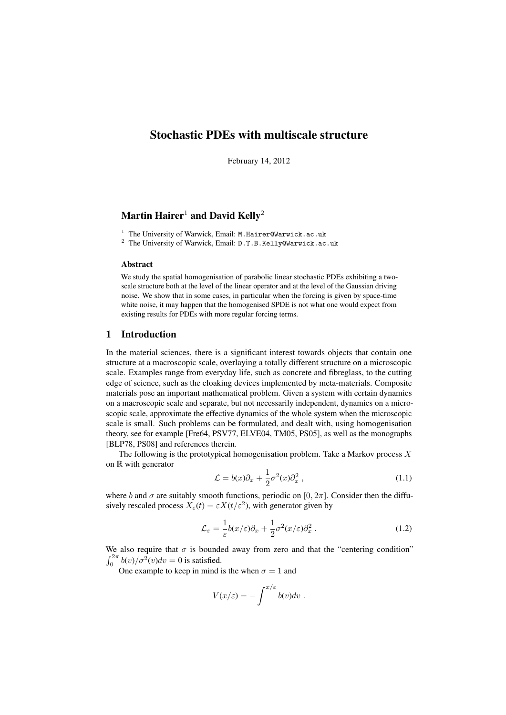# Stochastic PDEs with multiscale structure

February 14, 2012

# Martin Hairer<sup>1</sup> and David Kelly<sup>2</sup>

<sup>1</sup> The University of Warwick, Email: M.Hairer@Warwick.ac.uk

<sup>2</sup> The University of Warwick, Email: D.T.B.Kelly@Warwick.ac.uk

#### Abstract

We study the spatial homogenisation of parabolic linear stochastic PDEs exhibiting a twoscale structure both at the level of the linear operator and at the level of the Gaussian driving noise. We show that in some cases, in particular when the forcing is given by space-time white noise, it may happen that the homogenised SPDE is not what one would expect from existing results for PDEs with more regular forcing terms.

## 1 Introduction

In the material sciences, there is a significant interest towards objects that contain one structure at a macroscopic scale, overlaying a totally different structure on a microscopic scale. Examples range from everyday life, such as concrete and fibreglass, to the cutting edge of science, such as the cloaking devices implemented by meta-materials. Composite materials pose an important mathematical problem. Given a system with certain dynamics on a macroscopic scale and separate, but not necessarily independent, dynamics on a microscopic scale, approximate the effective dynamics of the whole system when the microscopic scale is small. Such problems can be formulated, and dealt with, using homogenisation theory, see for example [Fre64, PSV77, ELVE04, TM05, PS05], as well as the monographs [BLP78, PS08] and references therein.

The following is the prototypical homogenisation problem. Take a Markov process  $X$ on  $\mathbb R$  with generator

$$
\mathcal{L} = b(x)\partial_x + \frac{1}{2}\sigma^2(x)\partial_x^2 , \qquad (1.1)
$$

where b and  $\sigma$  are suitably smooth functions, periodic on [0, 2 $\pi$ ]. Consider then the diffusively rescaled process  $X_{\varepsilon}(t) = \varepsilon X(t/\varepsilon^2)$ , with generator given by

$$
\mathcal{L}_{\varepsilon} = \frac{1}{\varepsilon} b(x/\varepsilon) \partial_x + \frac{1}{2} \sigma^2(x/\varepsilon) \partial_x^2.
$$
 (1.2)

We also require that  $\sigma$  is bounded away from zero and that the "centering condition"  $\int_0^{2\pi} b(v)/\sigma^2(v)dv = 0$  is satisfied.

One example to keep in mind is the when  $\sigma = 1$  and

$$
V(x/\varepsilon) = -\int^{x/\varepsilon} b(v)dv.
$$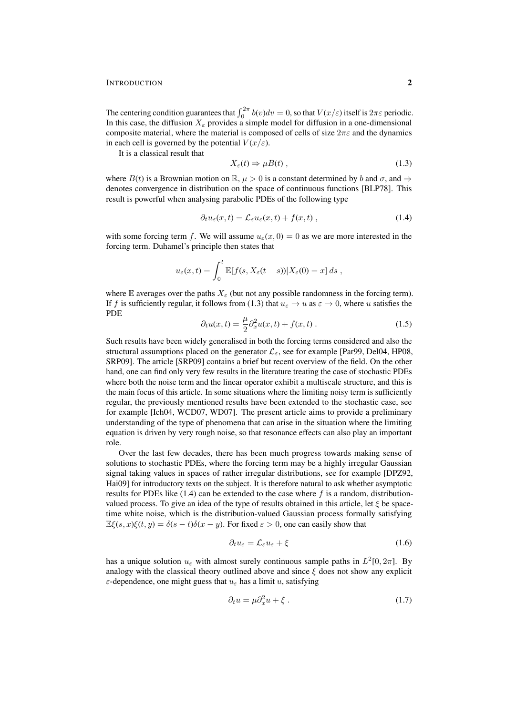The centering condition guarantees that  $\int_0^{2\pi} b(v)dv = 0$ , so that  $V(x/\varepsilon)$  itself is  $2\pi\varepsilon$  periodic. In this case, the diffusion  $X_{\varepsilon}$  provides a simple model for diffusion in a one-dimensional composite material, where the material is composed of cells of size  $2\pi\varepsilon$  and the dynamics in each cell is governed by the potential  $V(x/\varepsilon)$ .

It is a classical result that

$$
X_{\varepsilon}(t) \Rightarrow \mu B(t) , \qquad (1.3)
$$

where  $B(t)$  is a Brownian motion on  $\mathbb{R}, \mu > 0$  is a constant determined by b and  $\sigma$ , and  $\Rightarrow$ denotes convergence in distribution on the space of continuous functions [BLP78]. This result is powerful when analysing parabolic PDEs of the following type

$$
\partial_t u_{\varepsilon}(x,t) = \mathcal{L}_{\varepsilon} u_{\varepsilon}(x,t) + f(x,t) , \qquad (1.4)
$$

with some forcing term f. We will assume  $u_{\varepsilon}(x, 0) = 0$  as we are more interested in the forcing term. Duhamel's principle then states that

$$
u_{\varepsilon}(x,t) = \int_0^t \mathbb{E}[f(s, X_{\varepsilon}(t-s))|X_{\varepsilon}(0) = x] ds,
$$

where E averages over the paths  $X_{\varepsilon}$  (but not any possible randomness in the forcing term). If f is sufficiently regular, it follows from (1.3) that  $u_{\varepsilon} \to u$  as  $\varepsilon \to 0$ , where u satisfies the PDE

$$
\partial_t u(x,t) = \frac{\mu}{2} \partial_x^2 u(x,t) + f(x,t) \,. \tag{1.5}
$$

Such results have been widely generalised in both the forcing terms considered and also the structural assumptions placed on the generator  $\mathcal{L}_{\varepsilon}$ , see for example [Par99, Del04, HP08, SRP09]. The article [SRP09] contains a brief but recent overview of the field. On the other hand, one can find only very few results in the literature treating the case of stochastic PDEs where both the noise term and the linear operator exhibit a multiscale structure, and this is the main focus of this article. In some situations where the limiting noisy term is sufficiently regular, the previously mentioned results have been extended to the stochastic case, see for example [Ich04, WCD07, WD07]. The present article aims to provide a preliminary understanding of the type of phenomena that can arise in the situation where the limiting equation is driven by very rough noise, so that resonance effects can also play an important role.

Over the last few decades, there has been much progress towards making sense of solutions to stochastic PDEs, where the forcing term may be a highly irregular Gaussian signal taking values in spaces of rather irregular distributions, see for example [DPZ92, Hai09] for introductory texts on the subject. It is therefore natural to ask whether asymptotic results for PDEs like  $(1.4)$  can be extended to the case where f is a random, distributionvalued process. To give an idea of the type of results obtained in this article, let  $\xi$  be spacetime white noise, which is the distribution-valued Gaussian process formally satisfying  $\mathbb{E}\xi(s, x)\xi(t, y) = \delta(s-t)\delta(x-y)$ . For fixed  $\varepsilon > 0$ , one can easily show that

$$
\partial_t u_\varepsilon = \mathcal{L}_\varepsilon u_\varepsilon + \xi \tag{1.6}
$$

has a unique solution  $u_{\varepsilon}$  with almost surely continuous sample paths in  $L^2[0, 2\pi]$ . By analogy with the classical theory outlined above and since  $\xi$  does not show any explicit  $\varepsilon$ -dependence, one might guess that  $u_{\varepsilon}$  has a limit u, satisfying

$$
\partial_t u = \mu \partial_x^2 u + \xi \,. \tag{1.7}
$$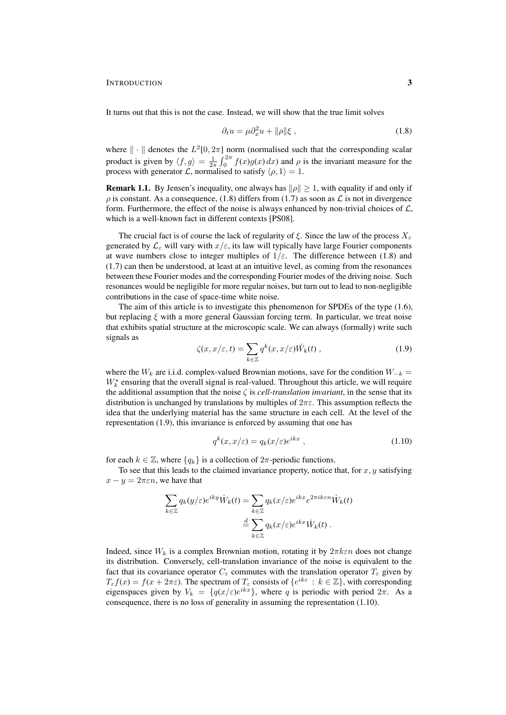It turns out that this is not the case. Instead, we will show that the true limit solves

$$
\partial_t u = \mu \partial_x^2 u + ||\rho||\xi \,, \tag{1.8}
$$

where  $\|\cdot\|$  denotes the  $L^2[0, 2\pi]$  norm (normalised such that the corresponding scalar product is given by  $\langle f, g \rangle = \frac{1}{2\pi} \int_0^{2\pi} f(x)g(x) dx$  and  $\rho$  is the invariant measure for the process with generator L, normalised to satisfy  $\langle \rho, 1 \rangle = 1$ .

**Remark 1.1.** By Jensen's inequality, one always has  $\|\rho\| \geq 1$ , with equality if and only if  $\rho$  is constant. As a consequence, (1.8) differs from (1.7) as soon as  $\mathcal L$  is not in divergence form. Furthermore, the effect of the noise is always enhanced by non-trivial choices of  $\mathcal{L}$ , which is a well-known fact in different contexts [PS08].

The crucial fact is of course the lack of regularity of  $\xi$ . Since the law of the process  $X_{\varepsilon}$ generated by  $\mathcal{L}_{\varepsilon}$  will vary with  $x/\varepsilon$ , its law will typically have large Fourier components at wave numbers close to integer multiples of  $1/\varepsilon$ . The difference between (1.8) and (1.7) can then be understood, at least at an intuitive level, as coming from the resonances between these Fourier modes and the corresponding Fourier modes of the driving noise. Such resonances would be negligible for more regular noises, but turn out to lead to non-negligible contributions in the case of space-time white noise.

The aim of this article is to investigate this phenomenon for SPDEs of the type (1.6), but replacing  $\xi$  with a more general Gaussian forcing term. In particular, we treat noise that exhibits spatial structure at the microscopic scale. We can always (formally) write such signals as

$$
\zeta(x, x/\varepsilon, t) = \sum_{k \in \mathbb{Z}} q^k(x, x/\varepsilon) \dot{W}_k(t) , \qquad (1.9)
$$

where the  $W_k$  are i.i.d. complex-valued Brownian motions, save for the condition  $W_{-k}$  =  $W_k^*$  ensuring that the overall signal is real-valued. Throughout this article, we will require the additional assumption that the noise  $\zeta$  is *cell-translation invariant*, in the sense that its distribution is unchanged by translations by multiples of  $2\pi\varepsilon$ . This assumption reflects the idea that the underlying material has the same structure in each cell. At the level of the representation (1.9), this invariance is enforced by assuming that one has

$$
q^k(x, x/\varepsilon) = q_k(x/\varepsilon)e^{ikx}, \qquad (1.10)
$$

for each  $k \in \mathbb{Z}$ , where  $\{q_k\}$  is a collection of  $2\pi$ -periodic functions.

To see that this leads to the claimed invariance property, notice that, for  $x, y$  satisfying  $x - y = 2\pi \varepsilon n$ , we have that

$$
\sum_{k \in \mathbb{Z}} q_k(y/\varepsilon) e^{iky} \dot{W}_k(t) = \sum_{k \in \mathbb{Z}} q_k(x/\varepsilon) e^{ikx} e^{2\pi i k \varepsilon n} \dot{W}_k(t)
$$

$$
\stackrel{d}{=} \sum_{k \in \mathbb{Z}} q_k(x/\varepsilon) e^{ikx} \dot{W}_k(t).
$$

Indeed, since  $W_k$  is a complex Brownian motion, rotating it by  $2\pi k \varepsilon n$  does not change its distribution. Conversely, cell-translation invariance of the noise is equivalent to the fact that its covariance operator  $C_{\varepsilon}$  commutes with the translation operator  $T_{\varepsilon}$  given by  $T_{\varepsilon} f(x) = f(x + 2\pi \varepsilon)$ . The spectrum of  $T_{\varepsilon}$  consists of  $\{e^{ik\varepsilon} : k \in \mathbb{Z}\}\)$ , with corresponding eigenspaces given by  $V_k = \{q(x/\varepsilon)e^{ikx}\}\$ , where q is periodic with period  $2\pi$ . As a consequence, there is no loss of generality in assuming the representation (1.10).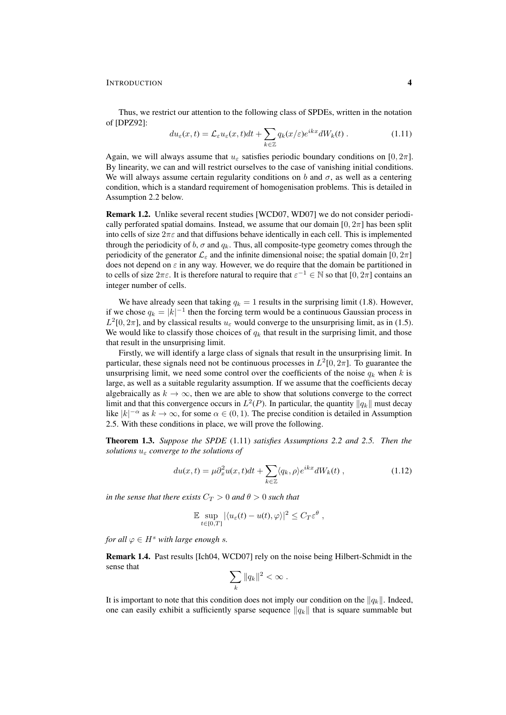Thus, we restrict our attention to the following class of SPDEs, written in the notation of [DPZ92]:

$$
du_{\varepsilon}(x,t) = \mathcal{L}_{\varepsilon}u_{\varepsilon}(x,t)dt + \sum_{k \in \mathbb{Z}} q_k(x/\varepsilon)e^{ikx}dW_k(t).
$$
 (1.11)

Again, we will always assume that  $u_{\varepsilon}$  satisfies periodic boundary conditions on [0, 2π]. By linearity, we can and will restrict ourselves to the case of vanishing initial conditions. We will always assume certain regularity conditions on b and  $\sigma$ , as well as a centering condition, which is a standard requirement of homogenisation problems. This is detailed in Assumption 2.2 below.

Remark 1.2. Unlike several recent studies [WCD07, WD07] we do not consider periodically perforated spatial domains. Instead, we assume that our domain  $[0, 2\pi]$  has been split into cells of size  $2\pi\varepsilon$  and that diffusions behave identically in each cell. This is implemented through the periodicity of b,  $\sigma$  and  $q_k$ . Thus, all composite-type geometry comes through the periodicity of the generator  $\mathcal{L}_{\varepsilon}$  and the infinite dimensional noise; the spatial domain [0,  $2\pi$ ] does not depend on  $\varepsilon$  in any way. However, we do require that the domain be partitioned in to cells of size  $2\pi\varepsilon$ . It is therefore natural to require that  $\varepsilon^{-1} \in \mathbb{N}$  so that  $[0, 2\pi]$  contains an integer number of cells.

We have already seen that taking  $q_k = 1$  results in the surprising limit (1.8). However, if we chose  $q_k = |k|^{-1}$  then the forcing term would be a continuous Gaussian process in  $L^2[0, 2\pi]$ , and by classical results  $u_\varepsilon$  would converge to the unsurprising limit, as in (1.5). We would like to classify those choices of  $q_k$  that result in the surprising limit, and those that result in the unsurprising limit.

Firstly, we will identify a large class of signals that result in the unsurprising limit. In particular, these signals need not be continuous processes in  $L^2[0, 2\pi]$ . To guarantee the unsurprising limit, we need some control over the coefficients of the noise  $q_k$  when k is large, as well as a suitable regularity assumption. If we assume that the coefficients decay algebraically as  $k \to \infty$ , then we are able to show that solutions converge to the correct limit and that this convergence occurs in  $L^2(P)$ . In particular, the quantity  $||q_k||$  must decay like  $|k|^{-\alpha}$  as  $k \to \infty$ , for some  $\alpha \in (0, 1)$ . The precise condition is detailed in Assumption 2.5. With these conditions in place, we will prove the following.

Theorem 1.3. *Suppose the SPDE* (1.11) *satisfies Assumptions 2.2 and 2.5. Then the solutions* u<sup>ε</sup> *converge to the solutions of*

$$
du(x,t) = \mu \partial_x^2 u(x,t)dt + \sum_{k \in \mathbb{Z}} \langle q_k, \rho \rangle e^{ikx} dW_k(t) , \qquad (1.12)
$$

*in the sense that there exists*  $C_T > 0$  *and*  $\theta > 0$  *such that* 

$$
\mathbb{E} \sup_{t \in [0,T]} |\langle u_{\varepsilon}(t) - u(t), \varphi \rangle|^2 \leq C_T \varepsilon^{\theta} ,
$$

*for all*  $\varphi \in H^s$  *with large enough s.* 

Remark 1.4. Past results [Ich04, WCD07] rely on the noise being Hilbert-Schmidt in the sense that

$$
\sum_k \|q_k\|^2 < \infty.
$$

It is important to note that this condition does not imply our condition on the  $||q_k||$ . Indeed, one can easily exhibit a sufficiently sparse sequence  $\|q_k\|$  that is square summable but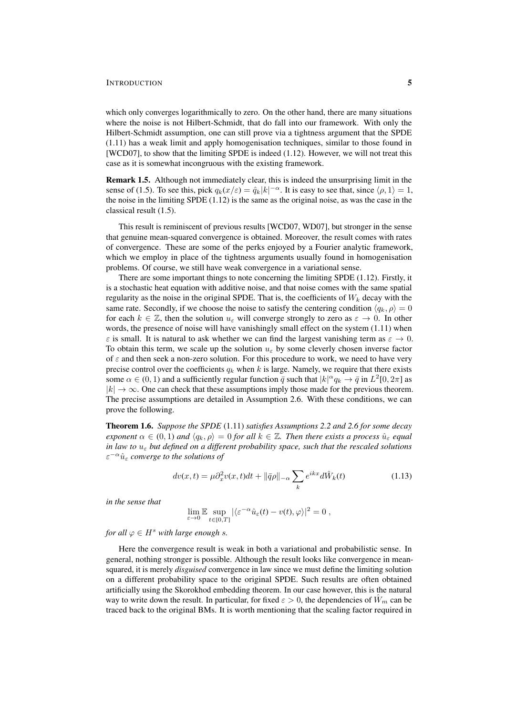which only converges logarithmically to zero. On the other hand, there are many situations where the noise is not Hilbert-Schmidt, that do fall into our framework. With only the Hilbert-Schmidt assumption, one can still prove via a tightness argument that the SPDE (1.11) has a weak limit and apply homogenisation techniques, similar to those found in [WCD07], to show that the limiting SPDE is indeed (1.12). However, we will not treat this case as it is somewhat incongruous with the existing framework.

Remark 1.5. Although not immediately clear, this is indeed the unsurprising limit in the sense of (1.5). To see this, pick  $q_k(x/\varepsilon) = \hat{q}_k |k|^{-\alpha}$ . It is easy to see that, since  $\langle \rho, 1 \rangle = 1$ , the noise in the limiting SPDE  $(1.12)$  is the same as the original noise, as was the case in the classical result (1.5).

This result is reminiscent of previous results [WCD07, WD07], but stronger in the sense that genuine mean-squared convergence is obtained. Moreover, the result comes with rates of convergence. These are some of the perks enjoyed by a Fourier analytic framework, which we employ in place of the tightness arguments usually found in homogenisation problems. Of course, we still have weak convergence in a variational sense.

There are some important things to note concerning the limiting SPDE (1.12). Firstly, it is a stochastic heat equation with additive noise, and that noise comes with the same spatial regularity as the noise in the original SPDE. That is, the coefficients of  $W_k$  decay with the same rate. Secondly, if we choose the noise to satisfy the centering condition  $\langle q_k, \rho \rangle = 0$ for each  $k \in \mathbb{Z}$ , then the solution  $u_{\varepsilon}$  will converge strongly to zero as  $\varepsilon \to 0$ . In other words, the presence of noise will have vanishingly small effect on the system (1.11) when  $\varepsilon$  is small. It is natural to ask whether we can find the largest vanishing term as  $\varepsilon \to 0$ . To obtain this term, we scale up the solution  $u_{\varepsilon}$  by some cleverly chosen inverse factor of  $\varepsilon$  and then seek a non-zero solution. For this procedure to work, we need to have very precise control over the coefficients  $q_k$  when k is large. Namely, we require that there exists some  $\alpha \in (0, 1)$  and a sufficiently regular function  $\bar{q}$  such that  $|k|^\alpha q_k \to \bar{q}$  in  $L^2[0, 2\pi]$  as  $|k| \to \infty$ . One can check that these assumptions imply those made for the previous theorem. The precise assumptions are detailed in Assumption 2.6. With these conditions, we can prove the following.

Theorem 1.6. *Suppose the SPDE* (1.11) *satisfies Assumptions 2.2 and 2.6 for some decay exponent*  $\alpha \in (0,1)$  *and*  $\langle q_k, \rho \rangle = 0$  *for all*  $k \in \mathbb{Z}$ *. Then there exists a process*  $\hat{u}_{\varepsilon}$  *equal in law to* u<sup>ε</sup> *but defined on a different probability space, such that the rescaled solutions*  $\varepsilon^{-\alpha}\hat{u}_{\varepsilon}$  converge to the solutions of

$$
dv(x,t) = \mu \partial_x^2 v(x,t)dt + ||\bar{q}\rho||_{-\alpha} \sum_k e^{ikx} d\hat{W}_k(t)
$$
\n(1.13)

*in the sense that*

$$
\lim_{\varepsilon \to 0} \mathbb{E} \sup_{t \in [0,T]} |\langle \varepsilon^{-\alpha} \hat{u}_{\varepsilon}(t) - v(t), \varphi \rangle|^2 = 0,
$$

*for all*  $\varphi \in H^s$  *with large enough s.* 

Here the convergence result is weak in both a variational and probabilistic sense. In general, nothing stronger is possible. Although the result looks like convergence in meansquared, it is merely *disguised* convergence in law since we must define the limiting solution on a different probability space to the original SPDE. Such results are often obtained artificially using the Skorokhod embedding theorem. In our case however, this is the natural way to write down the result. In particular, for fixed  $\varepsilon > 0$ , the dependencies of  $W_m$  can be traced back to the original BMs. It is worth mentioning that the scaling factor required in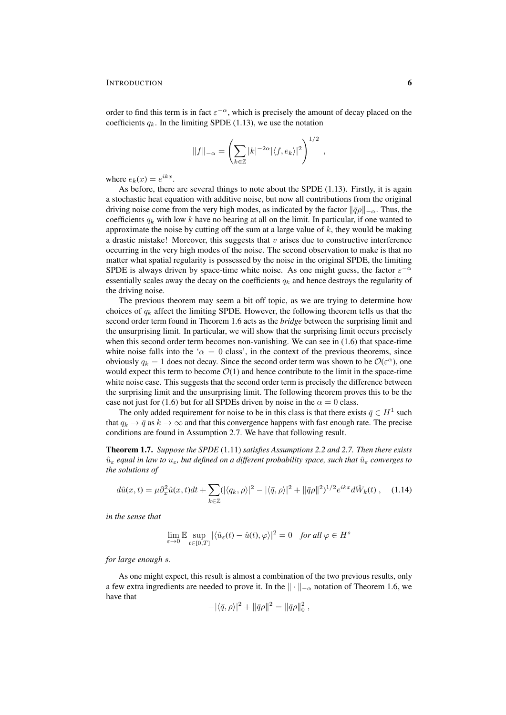order to find this term is in fact  $\varepsilon^{-\alpha}$ , which is precisely the amount of decay placed on the coefficients  $q_k$ . In the limiting SPDE (1.13), we use the notation

$$
||f||_{-\alpha} = \left(\sum_{k \in \mathbb{Z}} |k|^{-2\alpha} |\langle f, e_k \rangle|^2\right)^{1/2},
$$

where  $e_k(x) = e^{ikx}$ .

As before, there are several things to note about the SPDE (1.13). Firstly, it is again a stochastic heat equation with additive noise, but now all contributions from the original driving noise come from the very high modes, as indicated by the factor  $\|\bar{q}\rho\|_{-\alpha}$ . Thus, the coefficients  $q_k$  with low k have no bearing at all on the limit. In particular, if one wanted to approximate the noise by cutting off the sum at a large value of  $k$ , they would be making a drastic mistake! Moreover, this suggests that  $v$  arises due to constructive interference occurring in the very high modes of the noise. The second observation to make is that no matter what spatial regularity is possessed by the noise in the original SPDE, the limiting SPDE is always driven by space-time white noise. As one might guess, the factor  $\varepsilon^{-\alpha}$ essentially scales away the decay on the coefficients  $q_k$  and hence destroys the regularity of the driving noise.

The previous theorem may seem a bit off topic, as we are trying to determine how choices of  $q_k$  affect the limiting SPDE. However, the following theorem tells us that the second order term found in Theorem 1.6 acts as the *bridge* between the surprising limit and the unsurprising limit. In particular, we will show that the surprising limit occurs precisely when this second order term becomes non-vanishing. We can see in  $(1.6)$  that space-time white noise falls into the ' $\alpha = 0$  class', in the context of the previous theorems, since obviously  $q_k = 1$  does not decay. Since the second order term was shown to be  $\mathcal{O}(\varepsilon^{\alpha})$ , one would expect this term to become  $\mathcal{O}(1)$  and hence contribute to the limit in the space-time white noise case. This suggests that the second order term is precisely the difference between the surprising limit and the unsurprising limit. The following theorem proves this to be the case not just for (1.6) but for all SPDEs driven by noise in the  $\alpha = 0$  class.

The only added requirement for noise to be in this class is that there exists  $\bar{q} \in H^1$  such that  $q_k \to \bar{q}$  as  $k \to \infty$  and that this convergence happens with fast enough rate. The precise conditions are found in Assumption 2.7. We have that following result.

Theorem 1.7. *Suppose the SPDE* (1.11) *satisfies Assumptions 2.2 and 2.7. Then there exists*  $\hat{u}_{\varepsilon}$  *equal in law to*  $u_{\varepsilon}$ *, but defined on a different probability space, such that*  $\hat{u}_{\varepsilon}$  *converges to the solutions of*

$$
d\hat{u}(x,t) = \mu \partial_x^2 \hat{u}(x,t)dt + \sum_{k \in \mathbb{Z}} (|\langle q_k, \rho \rangle|^2 - |\langle \bar{q}, \rho \rangle|^2 + ||\bar{q}\rho||^2)^{1/2} e^{ikx} d\hat{W}_k(t) , \quad (1.14)
$$

*in the sense that*

$$
\lim_{\varepsilon \to 0} \mathbb{E} \sup_{t \in [0,T]} |\langle \hat{u}_{\varepsilon}(t) - \hat{u}(t), \varphi \rangle|^2 = 0 \quad \text{for all } \varphi \in H^s
$$

*for large enough* s*.*

As one might expect, this result is almost a combination of the two previous results, only a few extra ingredients are needed to prove it. In the  $\|\cdot\|_{-\alpha}$  notation of Theorem 1.6, we have that

$$
-|\langle \bar{q}, \rho \rangle|^2 + ||\bar{q}\rho||^2 = ||\bar{q}\rho||_0^2 ,
$$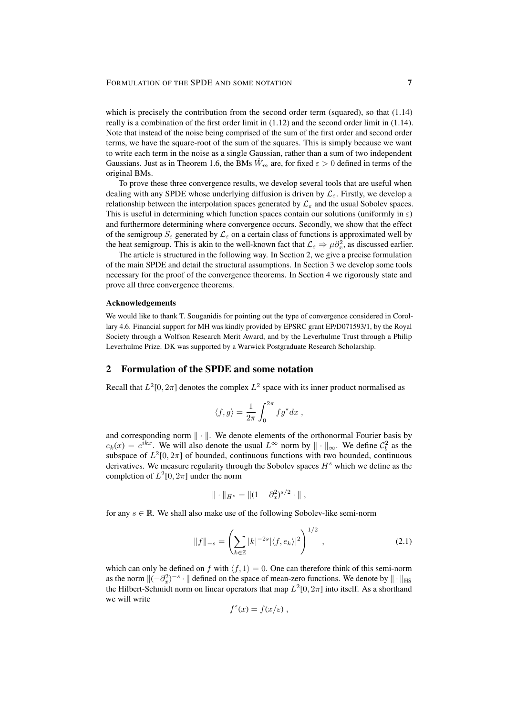which is precisely the contribution from the second order term (squared), so that  $(1.14)$ really is a combination of the first order limit in (1.12) and the second order limit in (1.14). Note that instead of the noise being comprised of the sum of the first order and second order terms, we have the square-root of the sum of the squares. This is simply because we want to write each term in the noise as a single Gaussian, rather than a sum of two independent Gaussians. Just as in Theorem 1.6, the BMs  $\hat{W}_m$  are, for fixed  $\varepsilon > 0$  defined in terms of the original BMs.

To prove these three convergence results, we develop several tools that are useful when dealing with any SPDE whose underlying diffusion is driven by  $\mathcal{L}_{\varepsilon}$ . Firstly, we develop a relationship between the interpolation spaces generated by  $\mathcal{L}_{\varepsilon}$  and the usual Sobolev spaces. This is useful in determining which function spaces contain our solutions (uniformly in  $\varepsilon$ ) and furthermore determining where convergence occurs. Secondly, we show that the effect of the semigroup  $S_{\varepsilon}$  generated by  $\mathcal{L}_{\varepsilon}$  on a certain class of functions is approximated well by the heat semigroup. This is akin to the well-known fact that  $\mathcal{L}_{\varepsilon} \Rightarrow \mu \partial_x^2$ , as discussed earlier.

The article is structured in the following way. In Section 2, we give a precise formulation of the main SPDE and detail the structural assumptions. In Section 3 we develop some tools necessary for the proof of the convergence theorems. In Section 4 we rigorously state and prove all three convergence theorems.

#### Acknowledgements

We would like to thank T. Souganidis for pointing out the type of convergence considered in Corollary 4.6. Financial support for MH was kindly provided by EPSRC grant EP/D071593/1, by the Royal Society through a Wolfson Research Merit Award, and by the Leverhulme Trust through a Philip Leverhulme Prize. DK was supported by a Warwick Postgraduate Research Scholarship.

# 2 Formulation of the SPDE and some notation

Recall that  $L^2[0, 2\pi]$  denotes the complex  $L^2$  space with its inner product normalised as

$$
\langle f,g\rangle=\frac{1}{2\pi}\int_0^{2\pi}fg^*dx\;,
$$

and corresponding norm  $\|\cdot\|$ . We denote elements of the orthonormal Fourier basis by  $e_k(x) = e^{ikx}$ . We will also denote the usual  $L^{\infty}$  norm by  $\|\cdot\|_{\infty}$ . We define  $C_b^2$  as the subspace of  $L^2[0, 2\pi]$  of bounded, continuous functions with two bounded, continuous derivatives. We measure regularity through the Sobolev spaces  $H<sup>s</sup>$  which we define as the completion of  $L^2[0, 2\pi]$  under the norm

$$
\|\cdot\|_{H^s} = \|(1-\partial_x^2)^{s/2}\cdot\|,
$$

for any  $s \in \mathbb{R}$ . We shall also make use of the following Sobolev-like semi-norm

$$
||f||_{-s} = \left(\sum_{k \in \mathbb{Z}} |k|^{-2s} |\langle f, e_k \rangle|^2\right)^{1/2}, \qquad (2.1)
$$

which can only be defined on f with  $\langle f, 1 \rangle = 0$ . One can therefore think of this semi-norm as the norm  $\|(-\partial_x^2)^{-s} \cdot \|$  defined on the space of mean-zero functions. We denote by  $\| \cdot \|_{HS}$ the Hilbert-Schmidt norm on linear operators that map  $L^2[0, 2\pi]$  into itself. As a shorthand we will write

$$
f^{\varepsilon}(x) = f(x/\varepsilon) ,
$$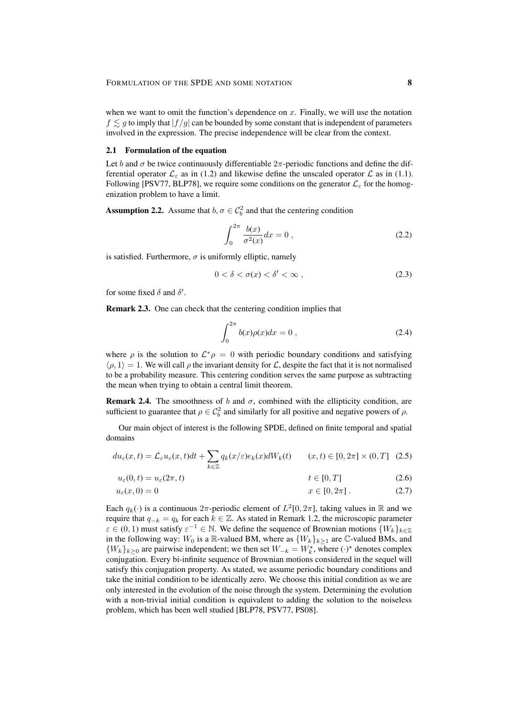when we want to omit the function's dependence on  $x$ . Finally, we will use the notation  $f \leq g$  to imply that  $|f/g|$  can be bounded by some constant that is independent of parameters involved in the expression. The precise independence will be clear from the context.

## 2.1 Formulation of the equation

Let b and  $\sigma$  be twice continuously differentiable  $2\pi$ -periodic functions and define the differential operator  $\mathcal{L}_{\varepsilon}$  as in (1.2) and likewise define the unscaled operator  $\mathcal{L}$  as in (1.1). Following [PSV77, BLP78], we require some conditions on the generator  $\mathcal{L}_{\varepsilon}$  for the homogenization problem to have a limit.

**Assumption 2.2.** Assume that  $b, \sigma \in C_b^2$  and that the centering condition

$$
\int_0^{2\pi} \frac{b(x)}{\sigma^2(x)} dx = 0 , \qquad (2.2)
$$

is satisfied. Furthermore,  $\sigma$  is uniformly elliptic, namely

$$
0 < \delta < \sigma(x) < \delta' < \infty \tag{2.3}
$$

for some fixed  $\delta$  and  $\delta'$ .

Remark 2.3. One can check that the centering condition implies that

$$
\int_0^{2\pi} b(x)\rho(x)dx = 0 , \qquad (2.4)
$$

where  $\rho$  is the solution to  $\mathcal{L}^*\rho = 0$  with periodic boundary conditions and satisfying  $\langle \rho, 1 \rangle = 1$ . We will call  $\rho$  the invariant density for  $\mathcal{L}$ , despite the fact that it is not normalised to be a probability measure. This centering condition serves the same purpose as subtracting the mean when trying to obtain a central limit theorem.

**Remark 2.4.** The smoothness of b and  $\sigma$ , combined with the ellipticity condition, are sufficient to guarantee that  $\rho \in C_b^2$  and similarly for all positive and negative powers of  $\rho$ .

Our main object of interest is the following SPDE, defined on finite temporal and spatial domains

$$
du_{\varepsilon}(x,t) = \mathcal{L}_{\varepsilon}u_{\varepsilon}(x,t)dt + \sum_{k \in \mathbb{Z}} q_k(x/\varepsilon)e_k(x)dW_k(t) \qquad (x,t) \in [0,2\pi] \times (0,T] \quad (2.5)
$$

$$
u_{\varepsilon}(0,t) = u_{\varepsilon}(2\pi,t) \qquad \qquad t \in [0,T] \tag{2.6}
$$

$$
u_{\varepsilon}(x,0) = 0 \t\t x \in [0,2\pi] \t(2.7)
$$

Each  $q_k(\cdot)$  is a continuous  $2\pi$ -periodic element of  $L^2[0, 2\pi]$ , taking values in  $\mathbb R$  and we require that  $q_{-k} = q_k$  for each  $k \in \mathbb{Z}$ . As stated in Remark 1.2, the microscopic parameter  $\varepsilon \in (0, 1)$  must satisfy  $\varepsilon^{-1} \in \mathbb{N}$ . We define the sequence of Brownian motions  $\{W_k\}_{k \in \mathbb{Z}}$ in the following way:  $W_0$  is a R-valued BM, where as  $\{W_k\}_{k\geq 1}$  are  $\mathbb C$ -valued BMs, and { $W_k$ }<sub> $k≥0$ </sub> are pairwise independent; we then set  $W_{-k} = W_k^*$ , where  $(·)^*$  denotes complex conjugation. Every bi-infinite sequence of Brownian motions considered in the sequel will satisfy this conjugation property. As stated, we assume periodic boundary conditions and take the initial condition to be identically zero. We choose this initial condition as we are only interested in the evolution of the noise through the system. Determining the evolution with a non-trivial initial condition is equivalent to adding the solution to the noiseless problem, which has been well studied [BLP78, PSV77, PS08].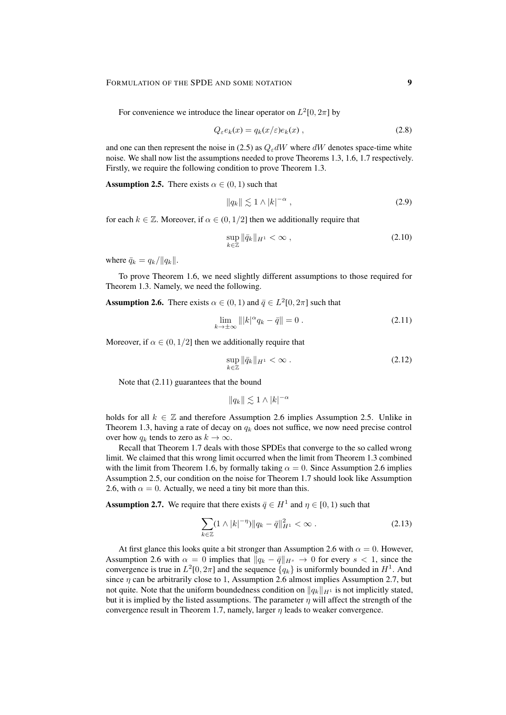For convenience we introduce the linear operator on  $L^2[0, 2\pi]$  by

$$
Q_{\varepsilon}e_k(x) = q_k(x/\varepsilon)e_k(x) , \qquad (2.8)
$$

and one can then represent the noise in (2.5) as  $Q_{\varepsilon}dW$  where dW denotes space-time white noise. We shall now list the assumptions needed to prove Theorems 1.3, 1.6, 1.7 respectively. Firstly, we require the following condition to prove Theorem 1.3.

**Assumption 2.5.** There exists  $\alpha \in (0, 1)$  such that

$$
||q_k|| \lesssim 1 \wedge |k|^{-\alpha} \tag{2.9}
$$

for each  $k \in \mathbb{Z}$ . Moreover, if  $\alpha \in (0, 1/2]$  then we additionally require that

$$
\sup_{k\in\mathbb{Z}} \|\bar{q}_k\|_{H^1} < \infty \;, \tag{2.10}
$$

where  $\bar{q}_k = q_k / ||q_k||$ .

To prove Theorem 1.6, we need slightly different assumptions to those required for Theorem 1.3. Namely, we need the following.

**Assumption 2.6.** There exists  $\alpha \in (0,1)$  and  $\bar{q} \in L^2[0,2\pi]$  such that

$$
\lim_{k \to \pm \infty} |||k|^{\alpha} q_k - \bar{q}|| = 0. \tag{2.11}
$$

Moreover, if  $\alpha \in (0, 1/2]$  then we additionally require that

$$
\sup_{k\in\mathbb{Z}} \|\bar{q}_k\|_{H^1} < \infty \tag{2.12}
$$

Note that (2.11) guarantees that the bound

 $||q_k|| \lesssim 1 \wedge |k|^{-\alpha}$ 

holds for all  $k \in \mathbb{Z}$  and therefore Assumption 2.6 implies Assumption 2.5. Unlike in Theorem 1.3, having a rate of decay on  $q_k$  does not suffice, we now need precise control over how  $q_k$  tends to zero as  $k \to \infty$ .

Recall that Theorem 1.7 deals with those SPDEs that converge to the so called wrong limit. We claimed that this wrong limit occurred when the limit from Theorem 1.3 combined with the limit from Theorem 1.6, by formally taking  $\alpha = 0$ . Since Assumption 2.6 implies Assumption 2.5, our condition on the noise for Theorem 1.7 should look like Assumption 2.6, with  $\alpha = 0$ . Actually, we need a tiny bit more than this.

**Assumption 2.7.** We require that there exists  $\bar{q} \in H^1$  and  $\eta \in [0, 1)$  such that

$$
\sum_{k \in \mathbb{Z}} (1 \wedge |k|^{-\eta}) \|q_k - \bar{q}\|_{H^1}^2 < \infty \,. \tag{2.13}
$$

At first glance this looks quite a bit stronger than Assumption 2.6 with  $\alpha = 0$ . However, Assumption 2.6 with  $\alpha = 0$  implies that  $||q_k - \bar{q}||_{H^s} \to 0$  for every  $s < 1$ , since the convergence is true in  $L^2[0, 2\pi]$  and the sequence  $\{q_k\}$  is uniformly bounded in  $H^1$ . And since  $\eta$  can be arbitrarily close to 1, Assumption 2.6 almost implies Assumption 2.7, but not quite. Note that the uniform boundedness condition on  $\|q_k\|_{H^1}$  is not implicitly stated, but it is implied by the listed assumptions. The parameter  $\eta$  will affect the strength of the convergence result in Theorem 1.7, namely, larger  $n$  leads to weaker convergence.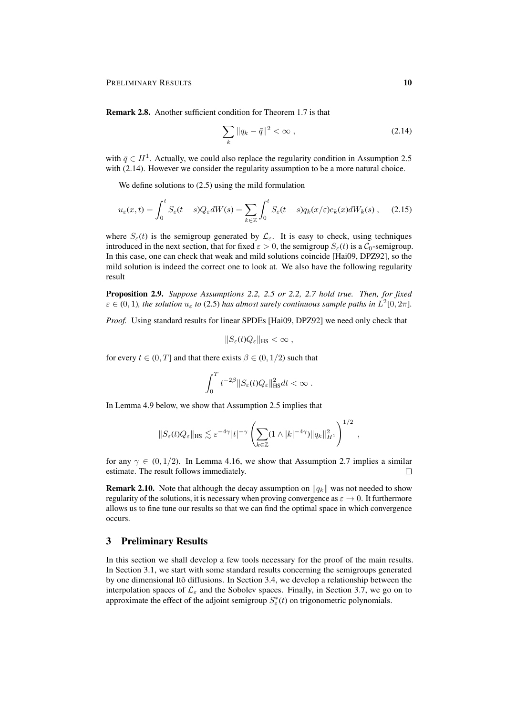Remark 2.8. Another sufficient condition for Theorem 1.7 is that

$$
\sum_{k} ||q_k - \bar{q}||^2 < \infty \,, \tag{2.14}
$$

with  $\bar{q} \in H^1$ . Actually, we could also replace the regularity condition in Assumption 2.5 with (2.14). However we consider the regularity assumption to be a more natural choice.

We define solutions to  $(2.5)$  using the mild formulation

$$
u_{\varepsilon}(x,t) = \int_0^t S_{\varepsilon}(t-s)Q_{\varepsilon}dW(s) = \sum_{k \in \mathbb{Z}} \int_0^t S_{\varepsilon}(t-s)q_k(x/\varepsilon)e_k(x)dW_k(s) , \quad (2.15)
$$

where  $S_{\varepsilon}(t)$  is the semigroup generated by  $\mathcal{L}_{\varepsilon}$ . It is easy to check, using techniques introduced in the next section, that for fixed  $\varepsilon > 0$ , the semigroup  $S_{\varepsilon}(t)$  is a  $C_0$ -semigroup. In this case, one can check that weak and mild solutions coincide [Hai09, DPZ92], so the mild solution is indeed the correct one to look at. We also have the following regularity result

Proposition 2.9. *Suppose Assumptions 2.2, 2.5 or 2.2, 2.7 hold true. Then, for fixed*  $\varepsilon \in (0, 1)$ , the solution  $u_{\varepsilon}$  to (2.5) has almost surely continuous sample paths in  $L^2[0, 2\pi]$ .

*Proof.* Using standard results for linear SPDEs [Hai09, DPZ92] we need only check that

$$
||S_{\varepsilon}(t)Q_{\varepsilon}||_{\text{HS}} < \infty ,
$$

for every  $t \in (0, T]$  and that there exists  $\beta \in (0, 1/2)$  such that

$$
\int_0^T t^{-2\beta} \|S_{\varepsilon}(t)Q_{\varepsilon}\|_{\text{HS}}^2 dt < \infty.
$$

In Lemma 4.9 below, we show that Assumption 2.5 implies that

$$
||S_{\varepsilon}(t)Q_{\varepsilon}||_{\text{HS}} \lesssim \varepsilon^{-4\gamma}|t|^{-\gamma} \left(\sum_{k\in\mathbb{Z}} (1\wedge|k|^{-4\gamma})||q_k||_{H^1}^2\right)^{1/2},
$$

for any  $\gamma \in (0, 1/2)$ . In Lemma 4.16, we show that Assumption 2.7 implies a similar estimate. The result follows immediately.  $\Box$ 

**Remark 2.10.** Note that although the decay assumption on  $||q_k||$  was not needed to show regularity of the solutions, it is necessary when proving convergence as  $\varepsilon \to 0$ . It furthermore allows us to fine tune our results so that we can find the optimal space in which convergence occurs.

## 3 Preliminary Results

In this section we shall develop a few tools necessary for the proof of the main results. In Section 3.1, we start with some standard results concerning the semigroups generated by one dimensional Itô diffusions. In Section 3.4, we develop a relationship between the interpolation spaces of  $\mathcal{L}_{\varepsilon}$  and the Sobolev spaces. Finally, in Section 3.7, we go on to approximate the effect of the adjoint semigroup  $S^*_{\varepsilon}(t)$  on trigonometric polynomials.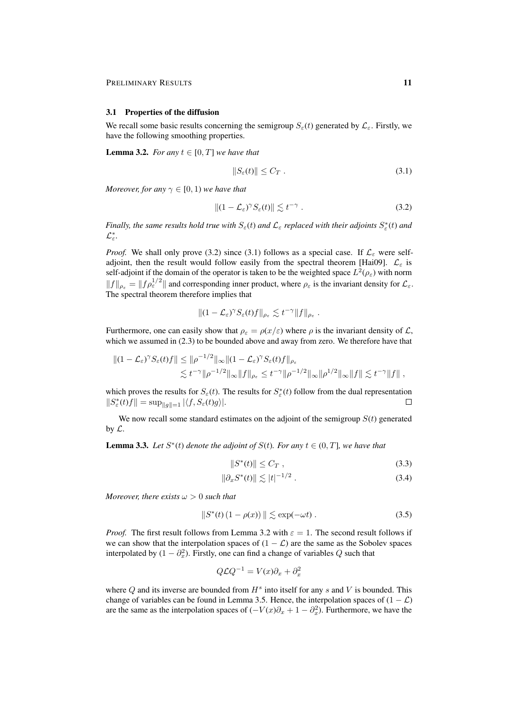#### 3.1 Properties of the diffusion

We recall some basic results concerning the semigroup  $S_{\varepsilon}(t)$  generated by  $\mathcal{L}_{\varepsilon}$ . Firstly, we have the following smoothing properties.

**Lemma 3.2.** *For any*  $t \in [0, T]$  *we have that* 

$$
||S_{\varepsilon}(t)|| \le C_T \tag{3.1}
$$

*Moreover, for any*  $\gamma \in [0, 1)$  *we have that* 

$$
||(1 - \mathcal{L}_{\varepsilon})^{\gamma} S_{\varepsilon}(t)|| \lesssim t^{-\gamma} . \tag{3.2}
$$

*Finally, the same results hold true with*  $S_\varepsilon(t)$  *and*  $\mathcal{L}_\varepsilon$  *replaced with their adjoints*  $S^*_\varepsilon(t)$  *and* L ∗ ε *.*

*Proof.* We shall only prove (3.2) since (3.1) follows as a special case. If  $\mathcal{L}_{\varepsilon}$  were selfadjoint, then the result would follow easily from the spectral theorem [Hai09].  $\mathcal{L}_{\varepsilon}$  is self-adjoint if the domain of the operator is taken to be the weighted space  $L^2(\rho_{\varepsilon})$  with norm  $||f||_{\rho_{\varepsilon}} = ||f \rho_{\varepsilon}^{1/2}||$  and corresponding inner product, where  $\rho_{\varepsilon}$  is the invariant density for  $\mathcal{L}_{\varepsilon}$ . The spectral theorem therefore implies that

$$
|| (1 - \mathcal{L}_{\varepsilon})^{\gamma} S_{\varepsilon}(t) f ||_{\rho_{\varepsilon}} \lesssim t^{-\gamma} ||f||_{\rho_{\varepsilon}}.
$$

Furthermore, one can easily show that  $\rho_{\varepsilon} = \rho(x/\varepsilon)$  where  $\rho$  is the invariant density of  $\mathcal{L}$ , which we assumed in (2.3) to be bounded above and away from zero. We therefore have that

$$
\begin{aligned} \|(1-\mathcal{L}_{\varepsilon})^{\gamma} S_{\varepsilon}(t)f\| &\leq \|\rho^{-1/2}\|_{\infty} \|(1-\mathcal{L}_{\varepsilon})^{\gamma} S_{\varepsilon}(t)f\|_{\rho_{\varepsilon}} \\ &\lesssim t^{-\gamma} \|\rho^{-1/2}\|_{\infty} \|f\|_{\rho_{\varepsilon}} \leq t^{-\gamma} \|\rho^{-1/2}\|_{\infty} \|\rho^{1/2}\|_{\infty} \|f\| \lesssim t^{-\gamma} \|f\| \;, \end{aligned}
$$

which proves the results for  $S_{\varepsilon}(t)$ . The results for  $S_{\varepsilon}^*(t)$  follow from the dual representation  $||S^*_{\varepsilon}(t)f|| = \sup_{||g||=1} |\langle f, S_{\varepsilon}(t)g \rangle|.$  $\Box$ 

We now recall some standard estimates on the adjoint of the semigroup  $S(t)$  generated by  $\mathcal{L}$ .

**Lemma 3.3.** Let  $S^*(t)$  denote the adjoint of  $S(t)$ . For any  $t \in (0, T]$ , we have that

$$
||S^*(t)|| \le C_T , \qquad (3.3)
$$

$$
\|\partial_x S^*(t)\| \lesssim |t|^{-1/2} \,. \tag{3.4}
$$

*Moreover, there exists*  $\omega > 0$  *such that* 

$$
||S^*(t) (1 - \rho(x))|| \lesssim \exp(-\omega t). \tag{3.5}
$$

*Proof.* The first result follows from Lemma 3.2 with  $\varepsilon = 1$ . The second result follows if we can show that the interpolation spaces of  $(1 - \mathcal{L})$  are the same as the Sobolev spaces interpolated by  $(1 - \partial_x^2)$ . Firstly, one can find a change of variables Q such that

$$
Q\mathcal{L}Q^{-1} = V(x)\partial_x + \partial_x^2
$$

where  $Q$  and its inverse are bounded from  $H<sup>s</sup>$  into itself for any  $s$  and  $V$  is bounded. This change of variables can be found in Lemma 3.5. Hence, the interpolation spaces of  $(1 - \mathcal{L})$ are the same as the interpolation spaces of  $(-V(x)\partial_x + 1 - \partial_x^2)$ . Furthermore, we have the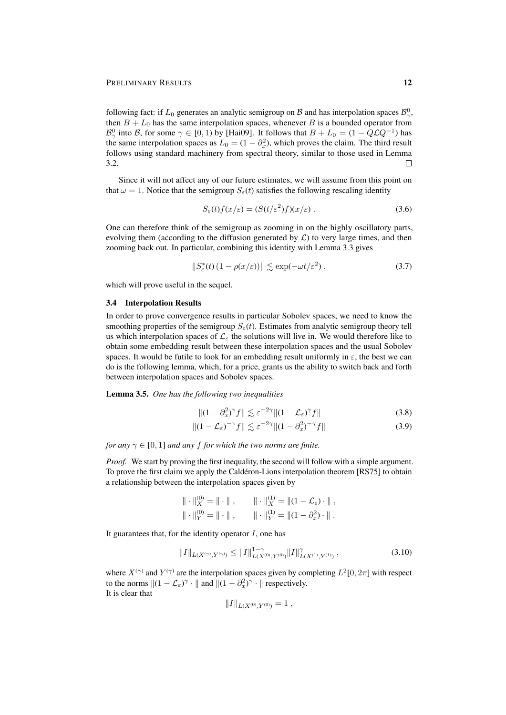following fact: if  $L_0$  generates an analytic semigroup on  $\mathcal B$  and has interpolation spaces  $\mathcal B^0_\gamma$ , then  $B + L_0$  has the same interpolation spaces, whenever B is a bounded operator from  $\mathcal{B}^0_\gamma$  into B, for some  $\gamma \in [0,1)$  by [Hai09]. It follows that  $B + L_0 = (1 - Q\mathcal{L}Q^{-1})$  has the same interpolation spaces as  $L_0 = (1 - \partial_x^2)$ , which proves the claim. The third result follows using standard machinery from spectral theory, similar to those used in Lemma 3.2.  $\Box$ 

Since it will not affect any of our future estimates, we will assume from this point on that  $\omega = 1$ . Notice that the semigroup  $S_{\epsilon}(t)$  satisfies the following rescaling identity

$$
S_{\varepsilon}(t)f(x/\varepsilon) = (S(t/\varepsilon^2)f)(x/\varepsilon).
$$
\n(3.6)

One can therefore think of the semigroup as zooming in on the highly oscillatory parts, evolving them (according to the diffusion generated by  $\mathcal{L}$ ) to very large times, and then zooming back out. In particular, combining this identity with Lemma 3.3 gives

$$
||S_{\varepsilon}^{*}(t) (1 - \rho(x/\varepsilon))|| \lesssim \exp(-\omega t/\varepsilon^{2}), \qquad (3.7)
$$

which will prove useful in the sequel.

### 3.4 Interpolation Results

In order to prove convergence results in particular Sobolev spaces, we need to know the smoothing properties of the semigroup  $S_{\epsilon}(t)$ . Estimates from analytic semigroup theory tell us which interpolation spaces of  $\mathcal{L}_{\varepsilon}$  the solutions will live in. We would therefore like to obtain some embedding result between these interpolation spaces and the usual Sobolev spaces. It would be futile to look for an embedding result uniformly in  $\varepsilon$ , the best we can do is the following lemma, which, for a price, grants us the ability to switch back and forth between interpolation spaces and Sobolev spaces.

Lemma 3.5. *One has the following two inequalities*

$$
||(1 - \partial_x^2)^\gamma f|| \lesssim \varepsilon^{-2\gamma} ||(1 - \mathcal{L}_\varepsilon)^\gamma f|| \tag{3.8}
$$

$$
||(1 - \mathcal{L}_{\varepsilon})^{-\gamma} f|| \lesssim \varepsilon^{-2\gamma} ||(1 - \partial_x^2)^{-\gamma} f|| \tag{3.9}
$$

*for any*  $\gamma \in [0, 1]$  *and any f for which the two norms are finite.* 

*Proof.* We start by proving the first inequality, the second will follow with a simple argument. To prove the first claim we apply the Calderon-Lions interpolation theorem [RS75] to obtain a relationship between the interpolation spaces given by

$$
\|\cdot\|_{X}^{(0)} = \|\cdot\|, \qquad \|\cdot\|_{X}^{(1)} = \|(1 - \mathcal{L}_{\varepsilon}) \cdot\|,
$$
  

$$
\|\cdot\|_{Y}^{(0)} = \|\cdot\|, \qquad \|\cdot\|_{Y}^{(1)} = \|(1 - \partial_{x}^{2}) \cdot\|.
$$

It guarantees that, for the identity operator  $I$ , one has

$$
||I||_{L(X^{(\gamma)}, Y^{(\gamma)})} \le ||I||_{L(X^{(0)}, Y^{(0)})}^{1-\gamma} ||I||_{L(X^{(1)}, Y^{(1)})}^{\gamma}, \qquad (3.10)
$$

where  $X^{(\gamma)}$  and  $Y^{(\gamma)}$  are the interpolation spaces given by completing  $L^2[0, 2\pi]$  with respect to the norms  $||(1 - \mathcal{L}_{\varepsilon})^{\gamma} \cdot ||$  and  $||(1 - \partial_x^2)^{\gamma} \cdot ||$  respectively. It is clear that

$$
||I||_{L(X^{(0)},Y^{(0)})}=1\ ,
$$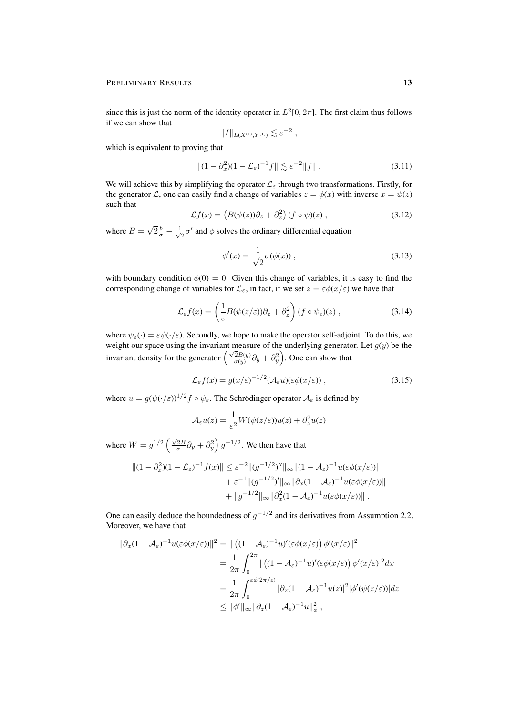since this is just the norm of the identity operator in  $L^2[0, 2\pi]$ . The first claim thus follows if we can show that

$$
\|I\|_{L(X^{(1)},Y^{(1)})}\lesssim \varepsilon^{-2}
$$

which is equivalent to proving that

$$
||(1 - \partial_x^2)(1 - \mathcal{L}_{\varepsilon})^{-1}f|| \lesssim \varepsilon^{-2}||f||. \tag{3.11}
$$

,

We will achieve this by simplifying the operator  $\mathcal{L}_{\varepsilon}$  through two transformations. Firstly, for the generator L, one can easily find a change of variables  $z = \phi(x)$  with inverse  $x = \psi(z)$ such that

$$
\mathcal{L}f(x) = \left(B(\psi(z))\partial_z + \partial_z^2\right)(f \circ \psi)(z) ,\qquad (3.12)
$$

where  $B =$ √  $\sqrt{2} \frac{b}{\sigma} - \frac{1}{\sqrt{2}}$  $\frac{1}{2}\sigma'$  and  $\phi$  solves the ordinary differential equation

$$
\phi'(x) = \frac{1}{\sqrt{2}} \sigma(\phi(x)), \qquad (3.13)
$$

with boundary condition  $\phi(0) = 0$ . Given this change of variables, it is easy to find the corresponding change of variables for  $\mathcal{L}_{\varepsilon}$ , in fact, if we set  $z = \varepsilon \phi(x/\varepsilon)$  we have that

$$
\mathcal{L}_{\varepsilon}f(x) = \left(\frac{1}{\varepsilon}B(\psi(z/\varepsilon))\partial_z + \partial_z^2\right)(f \circ \psi_{\varepsilon})(z) ,\qquad (3.14)
$$

where  $\psi_{\varepsilon}(\cdot) = \varepsilon \psi(\cdot/\varepsilon)$ . Secondly, we hope to make the operator self-adjoint. To do this, we weight our space using the invariant measure of the underlying generator. Let  $g(y)$  be the invariant density for the generator  $\left(\frac{\sqrt{2}B(y)}{\sigma(y)}\partial_y + \partial_y^2\right)$ . One can show that

$$
\mathcal{L}_{\varepsilon}f(x) = g(x/\varepsilon)^{-1/2}(\mathcal{A}_{\varepsilon}u)(\varepsilon\phi(x/\varepsilon)),
$$
\n(3.15)

where  $u = g(\psi(\cdot/\varepsilon))^{1/2} f \circ \psi_{\varepsilon}$ . The Schrödinger operator  $\mathcal{A}_{\varepsilon}$  is defined by

$$
\mathcal{A}_{\varepsilon}u(z) = \frac{1}{\varepsilon^2}W(\psi(z/\varepsilon))u(z) + \partial_z^2 u(z)
$$

where  $W = g^{1/2} \left( \frac{\sqrt{2}B}{\sigma} \partial_y + \partial_y^2 \right) g^{-1/2}$ . We then have that

$$
||(1 - \partial_x^2)(1 - \mathcal{L}_{\varepsilon})^{-1} f(x)|| \leq \varepsilon^{-2} ||(g^{-1/2})''||_{\infty} ||(1 - \mathcal{A}_{\varepsilon})^{-1} u(\varepsilon \phi(x/\varepsilon))||
$$
  
 
$$
+ \varepsilon^{-1} ||(g^{-1/2})'||_{\infty} ||\partial_x (1 - \mathcal{A}_{\varepsilon})^{-1} u(\varepsilon \phi(x/\varepsilon))||
$$
  
 
$$
+ ||g^{-1/2}||_{\infty} ||\partial_x^2 (1 - \mathcal{A}_{\varepsilon})^{-1} u(\varepsilon \phi(x/\varepsilon))||.
$$

One can easily deduce the boundedness of  $g^{-1/2}$  and its derivatives from Assumption 2.2. Moreover, we have that

$$
\begin{split} \|\partial_x (1 - \mathcal{A}_{\varepsilon})^{-1} u(\varepsilon \phi(x/\varepsilon))\|^2 &= \|\left((1 - \mathcal{A}_{\varepsilon})^{-1} u)'(\varepsilon \phi(x/\varepsilon)) \, \phi'(x/\varepsilon)\right\|^2 \\ &= \frac{1}{2\pi} \int_0^{2\pi} |\left((1 - \mathcal{A}_{\varepsilon})^{-1} u)'(\varepsilon \phi(x/\varepsilon)) \, \phi'(x/\varepsilon)\right|^2 dx \\ &= \frac{1}{2\pi} \int_0^{\varepsilon \phi(2\pi/\varepsilon)} |\partial_z (1 - \mathcal{A}_{\varepsilon})^{-1} u(z)|^2 |\phi'(\psi(z/\varepsilon))| dz \\ &\le \|\phi'\|_{\infty} \|\partial_z (1 - \mathcal{A}_{\varepsilon})^{-1} u\|_{\phi}^2 \,, \end{split}
$$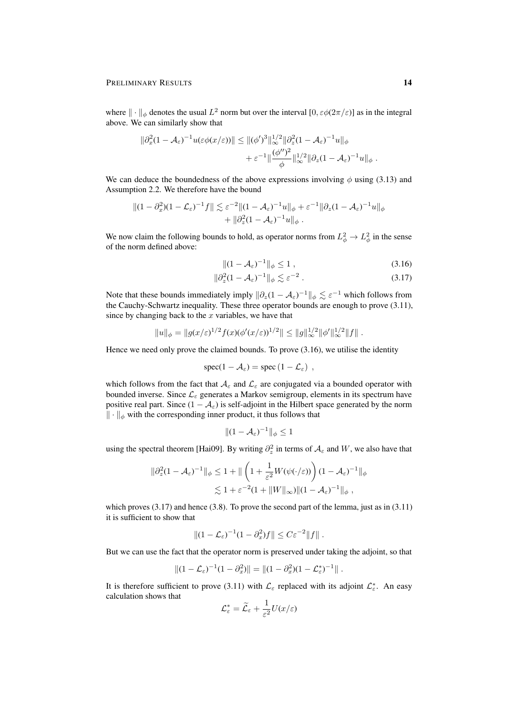where  $\|\cdot\|_{\phi}$  denotes the usual  $L^2$  norm but over the interval  $[0, \varepsilon \phi(2\pi/\varepsilon)]$  as in the integral above. We can similarly show that

$$
\begin{aligned} \|\partial_x^2 (1 - \mathcal{A}_{\varepsilon})^{-1} u(\varepsilon \phi(x/\varepsilon)) \| &\leq \|(\phi')^3\|_{\infty}^{1/2} \|\partial_z^2 (1 - \mathcal{A}_{\varepsilon})^{-1} u\|_{\phi} \\ &+ \varepsilon^{-1} \|\frac{(\phi'')^2}{\phi}\|_{\infty}^{1/2} \|\partial_z (1 - \mathcal{A}_{\varepsilon})^{-1} u\|_{\phi} \; . \end{aligned}
$$

We can deduce the boundedness of the above expressions involving  $\phi$  using (3.13) and Assumption 2.2. We therefore have the bound

$$
||(1 - \partial_x^2)(1 - \mathcal{L}_{\varepsilon})^{-1}f|| \lesssim \varepsilon^{-2}||(1 - \mathcal{A}_{\varepsilon})^{-1}u||_{\phi} + \varepsilon^{-1}||\partial_z(1 - \mathcal{A}_{\varepsilon})^{-1}u||_{\phi} + ||\partial_z^2(1 - \mathcal{A}_{\varepsilon})^{-1}u||_{\phi}.
$$

We now claim the following bounds to hold, as operator norms from  $L^2_{\phi} \to L^2_{\phi}$  in the sense of the norm defined above:

$$
||(1 - \mathcal{A}_{\varepsilon})^{-1}||_{\phi} \le 1 , \qquad (3.16)
$$

$$
\|\partial_z^2 (1 - \mathcal{A}_{\varepsilon})^{-1}\|_{\phi} \lesssim \varepsilon^{-2} \,. \tag{3.17}
$$

Note that these bounds immediately imply  $\|\partial_z(1 - A_{\varepsilon})^{-1}\|_{\phi} \lesssim \varepsilon^{-1}$  which follows from the Cauchy-Schwartz inequality. These three operator bounds are enough to prove (3.11), since by changing back to the  $x$  variables, we have that

$$
||u||_{\phi} = ||g(x/\varepsilon)^{1/2} f(x) (\phi'(x/\varepsilon))^{1/2} || \leq ||g||_{\infty}^{1/2} ||\phi'||_{\infty}^{1/2} ||f||.
$$

Hence we need only prove the claimed bounds. To prove (3.16), we utilise the identity

$$
spec(1-\mathcal{A}_{\varepsilon})=spec(1-\mathcal{L}_{\varepsilon}) ,
$$

which follows from the fact that  $A_\varepsilon$  and  $\mathcal{L}_\varepsilon$  are conjugated via a bounded operator with bounded inverse. Since  $\mathcal{L}_{\varepsilon}$  generates a Markov semigroup, elements in its spectrum have positive real part. Since  $(1 - A_{\varepsilon})$  is self-adjoint in the Hilbert space generated by the norm  $\|\cdot\|_{\phi}$  with the corresponding inner product, it thus follows that

$$
|| (1 - \mathcal{A}_{\varepsilon})^{-1} ||_{\phi} \le 1
$$

using the spectral theorem [Hai09]. By writing  $\partial_z^2$  in terms of  $\mathcal{A}_{\varepsilon}$  and W, we also have that

$$
\|\partial_z^2 (1 - \mathcal{A}_{\varepsilon})^{-1}\|_{\phi} \le 1 + \|\left(1 + \frac{1}{\varepsilon^2} W(\psi(\cdot/\varepsilon))\right) (1 - \mathcal{A}_{\varepsilon})^{-1}\|_{\phi}
$$
  

$$
\lesssim 1 + \varepsilon^{-2} (1 + \|W\|_{\infty}) \|(1 - \mathcal{A}_{\varepsilon})^{-1}\|_{\phi},
$$

which proves  $(3.17)$  and hence  $(3.8)$ . To prove the second part of the lemma, just as in  $(3.11)$ it is sufficient to show that

$$
||(1-\mathcal{L}_{\varepsilon})^{-1}(1-\partial_x^2)f|| \leq C\varepsilon^{-2}||f||.
$$

But we can use the fact that the operator norm is preserved under taking the adjoint, so that

$$
||(1 - \mathcal{L}_{\varepsilon})^{-1}(1 - \partial_x^2)|| = ||(1 - \partial_x^2)(1 - \mathcal{L}_{\varepsilon}^*)^{-1}||.
$$

It is therefore sufficient to prove (3.11) with  $\mathcal{L}_{\varepsilon}$  replaced with its adjoint  $\mathcal{L}_{\varepsilon}^*$ . An easy calculation shows that

$$
\mathcal{L}_{\varepsilon}^* = \widetilde{\mathcal{L}}_{\varepsilon} + \frac{1}{\varepsilon^2} U(x/\varepsilon)
$$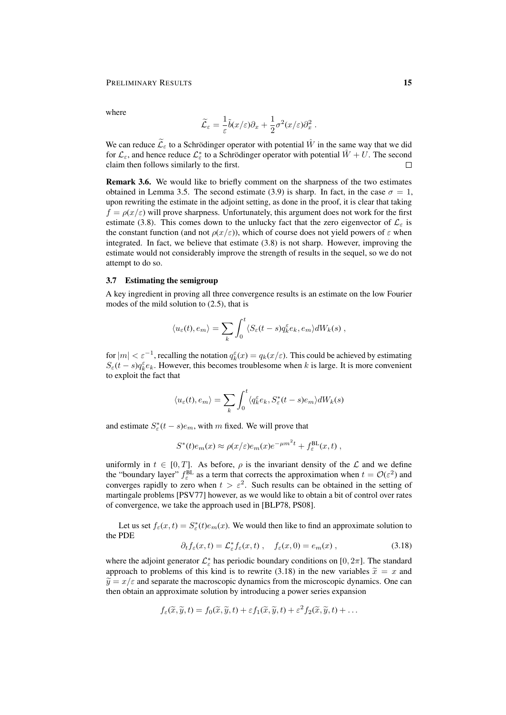where

$$
\widetilde{\mathcal{L}}_{\varepsilon} = \frac{1}{\varepsilon} \widetilde{b}(x/\varepsilon) \partial_x + \frac{1}{2} \sigma^2(x/\varepsilon) \partial_x^2.
$$

We can reduce  $\widetilde{\mathcal{L}}_{\varepsilon}$  to a Schrödinger operator with potential  $\hat{W}$  in the same way that we did for  $\mathcal{L}_{\varepsilon}$ , and hence reduce  $\mathcal{L}_{\varepsilon}^*$  to a Schrödinger operator with potential  $\hat{W} + U$ . The second claim then follows similarly to the first.  $\Box$ 

Remark 3.6. We would like to briefly comment on the sharpness of the two estimates obtained in Lemma 3.5. The second estimate (3.9) is sharp. In fact, in the case  $\sigma = 1$ , upon rewriting the estimate in the adjoint setting, as done in the proof, it is clear that taking  $f = \rho(x/\varepsilon)$  will prove sharpness. Unfortunately, this argument does not work for the first estimate (3.8). This comes down to the unlucky fact that the zero eigenvector of  $\mathcal{L}_{\varepsilon}$  is the constant function (and not  $\rho(x/\varepsilon)$ ), which of course does not yield powers of  $\varepsilon$  when integrated. In fact, we believe that estimate (3.8) is not sharp. However, improving the estimate would not considerably improve the strength of results in the sequel, so we do not attempt to do so.

#### 3.7 Estimating the semigroup

A key ingredient in proving all three convergence results is an estimate on the low Fourier modes of the mild solution to (2.5), that is

$$
\langle u_{\varepsilon}(t), e_m \rangle = \sum_{k} \int_0^t \langle S_{\varepsilon}(t-s) q_k^{\varepsilon} e_k, e_m \rangle dW_k(s) ,
$$

for  $|m| < \varepsilon^{-1}$ , recalling the notation  $q_k^{\varepsilon}(x) = q_k(x/\varepsilon)$ . This could be achieved by estimating  $S_{\varepsilon}(t-s)q_{k}^{\varepsilon}e_{k}$ . However, this becomes troublesome when k is large. It is more convenient to exploit the fact that

$$
\langle u_{\varepsilon}(t), e_m \rangle = \sum_{k} \int_{0}^{t} \langle q_k^{\varepsilon} e_k, S_{\varepsilon}^*(t-s) e_m \rangle dW_k(s)
$$

and estimate  $S^*_{\varepsilon}(t-s)e_m$ , with m fixed. We will prove that

$$
S^*(t)e_m(x) \approx \rho(x/\varepsilon)e_m(x)e^{-\mu m^2t} + f_{\varepsilon}^{\text{BL}}(x,t) ,
$$

uniformly in  $t \in [0, T]$ . As before,  $\rho$  is the invariant density of the  $\mathcal L$  and we define the "boundary layer"  $f_{\varepsilon}^{BL}$  as a term that corrects the approximation when  $t = \mathcal{O}(\varepsilon^2)$  and converges rapidly to zero when  $t > \varepsilon^2$ . Such results can be obtained in the setting of martingale problems [PSV77] however, as we would like to obtain a bit of control over rates of convergence, we take the approach used in [BLP78, PS08].

Let us set  $f_{\varepsilon}(x,t) = S_{\varepsilon}^*(t)e_m(x)$ . We would then like to find an approximate solution to the PDE

$$
\partial_t f_{\varepsilon}(x,t) = \mathcal{L}_{\varepsilon}^* f_{\varepsilon}(x,t) , \quad f_{\varepsilon}(x,0) = e_m(x) , \qquad (3.18)
$$

where the adjoint generator  $\mathcal{L}_{\varepsilon}^*$  has periodic boundary conditions on [0,  $2\pi$ ]. The standard approach to problems of this kind is to rewrite (3.18) in the new variables  $\tilde{x} = x$  and  $\tilde{y} = x/\varepsilon$  and separate the macroscopic dynamics from the microscopic dynamics. One can then obtain an approximate solution by introducing a power series expansion

$$
f_{\varepsilon}(\widetilde{x},\widetilde{y},t)=f_0(\widetilde{x},\widetilde{y},t)+\varepsilon f_1(\widetilde{x},\widetilde{y},t)+\varepsilon^2 f_2(\widetilde{x},\widetilde{y},t)+\ldots
$$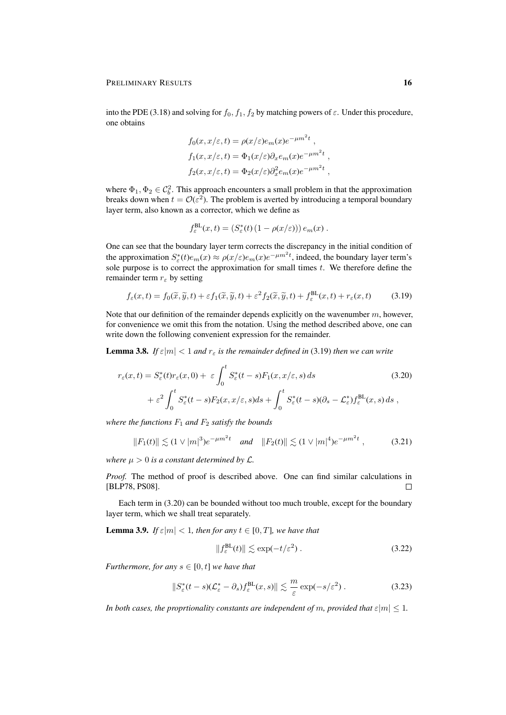into the PDE (3.18) and solving for  $f_0$ ,  $f_1$ ,  $f_2$  by matching powers of  $\varepsilon$ . Under this procedure, one obtains

$$
f_0(x, x/\varepsilon, t) = \rho(x/\varepsilon)e_m(x)e^{-\mu m^2 t},
$$
  
\n
$$
f_1(x, x/\varepsilon, t) = \Phi_1(x/\varepsilon)\partial_x e_m(x)e^{-\mu m^2 t},
$$
  
\n
$$
f_2(x, x/\varepsilon, t) = \Phi_2(x/\varepsilon)\partial_x^2 e_m(x)e^{-\mu m^2 t},
$$

where  $\Phi_1, \Phi_2 \in C_b^2$ . This approach encounters a small problem in that the approximation breaks down when  $t = \mathcal{O}(\varepsilon^2)$ . The problem is averted by introducing a temporal boundary layer term, also known as a corrector, which we define as

$$
f_{\varepsilon}^{\text{BL}}(x,t) = (S_{\varepsilon}^*(t) (1 - \rho(x/\varepsilon))) e_m(x).
$$

One can see that the boundary layer term corrects the discrepancy in the initial condition of the approximation  $S^*_\varepsilon(t)e_m(x) \approx \rho(x/\varepsilon)e_m(x)e^{-\mu m^2t}$ , indeed, the boundary layer term's sole purpose is to correct the approximation for small times  $t$ . We therefore define the remainder term  $r_{\varepsilon}$  by setting

$$
f_{\varepsilon}(x,t) = f_0(\widetilde{x}, \widetilde{y}, t) + \varepsilon f_1(\widetilde{x}, \widetilde{y}, t) + \varepsilon^2 f_2(\widetilde{x}, \widetilde{y}, t) + f_{\varepsilon}^{\text{BL}}(x, t) + r_{\varepsilon}(x, t)
$$
(3.19)

Note that our definition of the remainder depends explicitly on the wavenumber  $m$ , however, for convenience we omit this from the notation. Using the method described above, one can write down the following convenient expression for the remainder.

**Lemma 3.8.** *If*  $\varepsilon |m| < 1$  *and*  $r_{\varepsilon}$  *is the remainder defined in* (3.19) *then we can write* 

$$
r_{\varepsilon}(x,t) = S_{\varepsilon}^{*}(t)r_{\varepsilon}(x,0) + \varepsilon \int_{0}^{t} S_{\varepsilon}^{*}(t-s)F_{1}(x,x/\varepsilon,s) ds
$$
(3.20)  
 
$$
+ \varepsilon^{2} \int_{0}^{t} S_{\varepsilon}^{*}(t-s)F_{2}(x,x/\varepsilon,s) ds + \int_{0}^{t} S_{\varepsilon}^{*}(t-s)(\partial_{s} - \mathcal{L}_{\varepsilon}^{*})f_{\varepsilon}^{BL}(x,s) ds ,
$$

*where the functions*  $F_1$  *and*  $F_2$  *satisfy the bounds* 

$$
||F_1(t)|| \lesssim (1 \vee |m|^3) e^{-\mu m^2 t} \quad \text{and} \quad ||F_2(t)|| \lesssim (1 \vee |m|^4) e^{-\mu m^2 t} \,, \tag{3.21}
$$

*where*  $\mu > 0$  *is a constant determined by*  $\mathcal{L}$ *.* 

*Proof.* The method of proof is described above. One can find similar calculations in [BLP78, PS08].  $\Box$ 

Each term in (3.20) can be bounded without too much trouble, except for the boundary layer term, which we shall treat separately.

**Lemma 3.9.** *If*  $\varepsilon |m| < 1$ *, then for any*  $t \in [0, T]$ *, we have that* 

$$
||f_{\varepsilon}^{\text{BL}}(t)|| \lesssim \exp(-t/\varepsilon^2) . \tag{3.22}
$$

*Furthermore, for any*  $s \in [0, t]$  *we have that* 

$$
\|S_{\varepsilon}^*(t-s)(\mathcal{L}_{\varepsilon}^* - \partial_s)f_{\varepsilon}^{\text{BL}}(x,s)\| \lesssim \frac{m}{\varepsilon} \exp(-s/\varepsilon^2) \,. \tag{3.23}
$$

*In both cases, the proprtionality constants are independent of m, provided that*  $\varepsilon |m| \leq 1$ *.*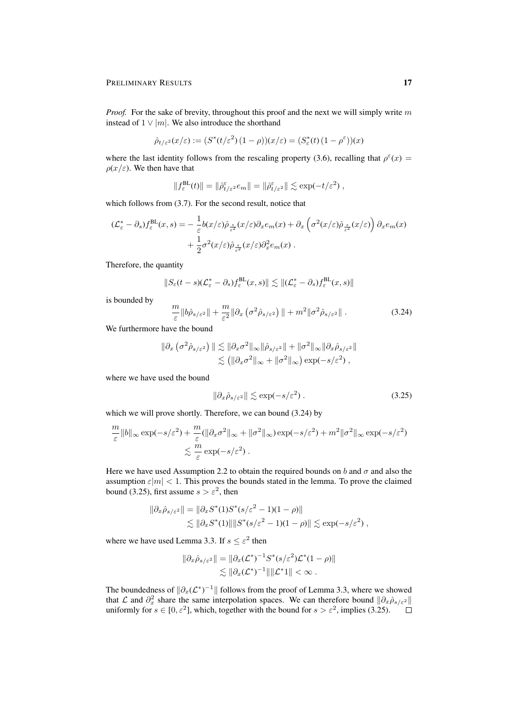*Proof.* For the sake of brevity, throughout this proof and the next we will simply write m instead of  $1 \vee |m|$ . We also introduce the shorthand

$$
\hat{\rho}_{t/\varepsilon^2}(x/\varepsilon) := (S^*(t/\varepsilon^2)(1-\rho))(x/\varepsilon) = (S^*_\varepsilon(t)(1-\rho^\varepsilon))(x)
$$

where the last identity follows from the rescaling property (3.6), recalling that  $\rho^{\epsilon}(x)$  =  $\rho(x/\varepsilon)$ . We then have that

 $||f_{\varepsilon}^{\text{BL}}(t)|| = ||\hat{\rho}_{t/\varepsilon^2}^{\varepsilon} e_m|| = ||\hat{\rho}_{t/\varepsilon^2}^{\varepsilon}|| \lesssim \exp(-t/\varepsilon^2) ,$ 

which follows from  $(3.7)$ . For the second result, notice that

$$
(\mathcal{L}_{\varepsilon}^{*} - \partial_{s}) f_{\varepsilon}^{\text{BL}}(x, s) = -\frac{1}{\varepsilon} b(x/\varepsilon) \hat{\rho}_{\frac{s}{\varepsilon^{2}}}(x/\varepsilon) \partial_{x} e_{m}(x) + \partial_{x} \left( \sigma^{2}(x/\varepsilon) \hat{\rho}_{\frac{s}{\varepsilon^{2}}}(x/\varepsilon) \right) \partial_{x} e_{m}(x) + \frac{1}{2} \sigma^{2}(x/\varepsilon) \hat{\rho}_{\frac{s}{\varepsilon^{2}}}(x/\varepsilon) \partial_{x}^{2} e_{m}(x).
$$

Therefore, the quantity

$$
||S_{\varepsilon}(t-s)(\mathcal{L}_{\varepsilon}^* - \partial_s)f_{\varepsilon}^{\text{BL}}(x,s)|| \lesssim ||(\mathcal{L}_{\varepsilon}^* - \partial_s)f_{\varepsilon}^{\text{BL}}(x,s)||
$$

is bounded by

$$
\frac{m}{\varepsilon} \|b\hat{\rho}_{s/\varepsilon^2}\| + \frac{m}{\varepsilon^2} \|\partial_x \left(\sigma^2 \hat{\rho}_{s/\varepsilon^2}\right)\| + m^2 \|\sigma^2 \hat{\rho}_{s/\varepsilon^2}\|.
$$
\n(3.24)

We furthermore have the bound

$$
\|\partial_x \left(\sigma^2 \hat{\rho}_{s/\varepsilon^2}\right) \| \lesssim \|\partial_x \sigma^2\|_{\infty} \|\hat{\rho}_{s/\varepsilon^2}\| + \|\sigma^2\|_{\infty} \|\partial_x \hat{\rho}_{s/\varepsilon^2}\| \lesssim \left( \|\partial_x \sigma^2\|_{\infty} + \|\sigma^2\|_{\infty} \right) \exp(-s/\varepsilon^2),
$$

where we have used the bound

$$
\|\partial_x \hat{\rho}_{s/\varepsilon^2}\| \lesssim \exp(-s/\varepsilon^2) \,. \tag{3.25}
$$

which we will prove shortly. Therefore, we can bound (3.24) by

$$
\frac{m}{\varepsilon} \|b\|_{\infty} \exp(-s/\varepsilon^2) + \frac{m}{\varepsilon} (\|\partial_x \sigma^2\|_{\infty} + \|\sigma^2\|_{\infty}) \exp(-s/\varepsilon^2) + m^2 \|\sigma^2\|_{\infty} \exp(-s/\varepsilon^2) \n\lesssim \frac{m}{\varepsilon} \exp(-s/\varepsilon^2).
$$

Here we have used Assumption 2.2 to obtain the required bounds on b and  $\sigma$  and also the assumption  $\varepsilon|m| < 1$ . This proves the bounds stated in the lemma. To prove the claimed bound (3.25), first assume  $s > \varepsilon^2$ , then

$$
\|\partial_x \hat{\rho}_{s/\varepsilon^2}\| = \|\partial_x S^*(1)S^*(s/\varepsilon^2 - 1)(1 - \rho)\|
$$
  
\$\lesssim \|\partial\_x S^\*(1)\| \|S^\*(s/\varepsilon^2 - 1)(1 - \rho)\| \lesssim \exp(-s/\varepsilon^2) ,

where we have used Lemma 3.3. If  $s \leq \varepsilon^2$  then

$$
\|\partial_x \hat{\rho}_{s/\varepsilon^2}\| = \|\partial_x (\mathcal{L}^*)^{-1} S^*(s/\varepsilon^2) \mathcal{L}^*(1-\rho)\|
$$
  
\$\lesssim \|\partial\_x (\mathcal{L}^\*)^{-1}\| \|\mathcal{L}^\*\| < \infty\$.

The boundedness of  $\|\partial_x(\mathcal{L}^*)^{-1}\|$  follows from the proof of Lemma 3.3, where we showed that  $\mathcal L$  and  $\partial_x^2$  share the same interpolation spaces. We can therefore bound  $\|\partial_x\hat \rho_{s/\varepsilon^2}\|$ uniformly for  $s \in [0, \varepsilon^2]$ , which, together with the bound for  $s > \varepsilon^2$ , implies (3.25).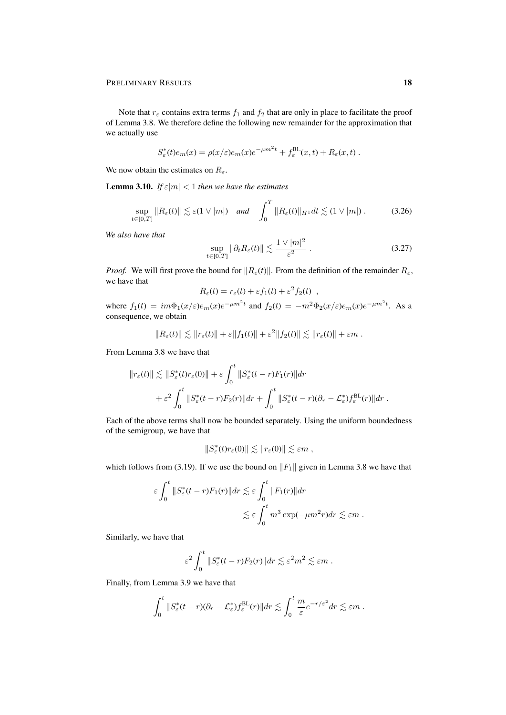Note that  $r_{\varepsilon}$  contains extra terms  $f_1$  and  $f_2$  that are only in place to facilitate the proof of Lemma 3.8. We therefore define the following new remainder for the approximation that we actually use

$$
S_{\varepsilon}^*(t)e_m(x) = \rho(x/\varepsilon)e_m(x)e^{-\mu m^2t} + f_{\varepsilon}^{\text{BL}}(x,t) + R_{\varepsilon}(x,t).
$$

We now obtain the estimates on  $R_{\varepsilon}$ .

**Lemma 3.10.** *If*  $\epsilon |m| < 1$  *then we have the estimates* 

$$
\sup_{t\in[0,T]}\|R_{\varepsilon}(t)\| \lesssim \varepsilon(1\vee|m|) \quad \text{and} \quad \int_0^T \|R_{\varepsilon}(t)\|_{H^1} dt \lesssim (1\vee|m|) \ . \tag{3.26}
$$

*We also have that*

$$
\sup_{t \in [0,T]} \|\partial_t R_{\varepsilon}(t)\| \lesssim \frac{1 \vee |m|^2}{\varepsilon^2} \,. \tag{3.27}
$$

*Proof.* We will first prove the bound for  $||R_{\varepsilon}(t)||$ . From the definition of the remainder  $R_{\varepsilon}$ , we have that

$$
R_{\varepsilon}(t) = r_{\varepsilon}(t) + \varepsilon f_1(t) + \varepsilon^2 f_2(t) ,
$$

where  $f_1(t) = im\Phi_1(x/\varepsilon)e_m(x)e^{-\mu m^2t}$  and  $f_2(t) = -m^2\Phi_2(x/\varepsilon)e_m(x)e^{-\mu m^2t}$ . As a consequence, we obtain

$$
||R_{\varepsilon}(t)|| \lesssim ||r_{\varepsilon}(t)|| + \varepsilon ||f_1(t)|| + \varepsilon^2 ||f_2(t)|| \lesssim ||r_{\varepsilon}(t)|| + \varepsilon m.
$$

From Lemma 3.8 we have that

$$
||r_{\varepsilon}(t)|| \lesssim ||S_{\varepsilon}^{*}(t)r_{\varepsilon}(0)|| + \varepsilon \int_{0}^{t} ||S_{\varepsilon}^{*}(t-r)F_{1}(r)||dr
$$
  
+  $\varepsilon^{2} \int_{0}^{t} ||S_{\varepsilon}^{*}(t-r)F_{2}(r)||dr + \int_{0}^{t} ||S_{\varepsilon}^{*}(t-r)(\partial_{r} - \mathcal{L}_{\varepsilon}^{*})f_{\varepsilon}^{\text{BL}}(r)||dr.$ 

Each of the above terms shall now be bounded separately. Using the uniform boundedness of the semigroup, we have that

$$
||S^*_{\varepsilon}(t)r_{\varepsilon}(0)|| \lesssim ||r_{\varepsilon}(0)|| \lesssim \varepsilon m ,
$$

which follows from (3.19). If we use the bound on  $||F_1||$  given in Lemma 3.8 we have that

$$
\varepsilon \int_0^t \|S_{\varepsilon}^*(t-r)F_1(r)\| dr \lesssim \varepsilon \int_0^t \|F_1(r)\| dr
$$
  

$$
\lesssim \varepsilon \int_0^t m^3 \exp(-\mu m^2 r) dr \lesssim \varepsilon m.
$$

Similarly, we have that

$$
\varepsilon^2 \int_0^t \|S^*_{\varepsilon}(t-r)F_2(r)\| dr \lesssim \varepsilon^2 m^2 \lesssim \varepsilon m.
$$

Finally, from Lemma 3.9 we have that

$$
\int_0^t \|S^*_{\varepsilon}(t-r)(\partial_r - \mathcal{L}^*_{\varepsilon})f_{\varepsilon}^{\text{BL}}(r)\|dr \lesssim \int_0^t \frac{m}{\varepsilon}e^{-r/\varepsilon^2}dr \lesssim \varepsilon m.
$$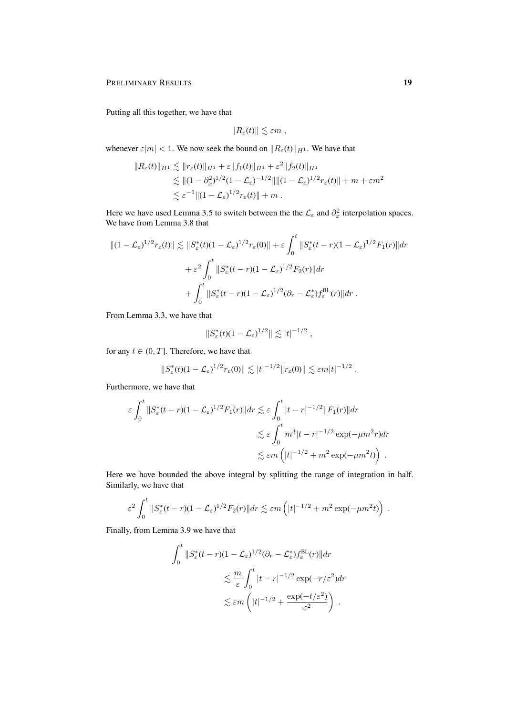Putting all this together, we have that

$$
||R_{\varepsilon}(t)|| \lesssim \varepsilon m ,
$$

whenever  $\varepsilon|m| < 1$ . We now seek the bound on  $||R_{\varepsilon}(t)||_{H^1}$ . We have that

$$
||R_{\varepsilon}(t)||_{H^1} \lesssim ||r_{\varepsilon}(t)||_{H^1} + \varepsilon ||f_1(t)||_{H^1} + \varepsilon^2 ||f_2(t)||_{H^1}
$$
  
\n
$$
\lesssim ||(1 - \partial_x^2)^{1/2} (1 - \mathcal{L}_{\varepsilon})^{-1/2} || ||(1 - \mathcal{L}_{\varepsilon})^{1/2} r_{\varepsilon}(t)|| + m + \varepsilon m^2
$$
  
\n
$$
\lesssim \varepsilon^{-1} ||(1 - \mathcal{L}_{\varepsilon})^{1/2} r_{\varepsilon}(t)|| + m.
$$

Here we have used Lemma 3.5 to switch between the the  $\mathcal{L}_{\varepsilon}$  and  $\partial_x^2$  interpolation spaces. We have from Lemma 3.8 that

$$
||(1 - \mathcal{L}_{\varepsilon})^{1/2} r_{\varepsilon}(t)|| \lesssim ||S_{\varepsilon}^{*}(t)(1 - \mathcal{L}_{\varepsilon})^{1/2} r_{\varepsilon}(0)|| + \varepsilon \int_{0}^{t} ||S_{\varepsilon}^{*}(t - r)(1 - \mathcal{L}_{\varepsilon})^{1/2} F_{1}(r)|| dr + \varepsilon^{2} \int_{0}^{t} ||S_{\varepsilon}^{*}(t - r)(1 - \mathcal{L}_{\varepsilon})^{1/2} F_{2}(r)|| dr + \int_{0}^{t} ||S_{\varepsilon}^{*}(t - r)(1 - \mathcal{L}_{\varepsilon})^{1/2} (\partial_{r} - \mathcal{L}_{\varepsilon}^{*}) f_{\varepsilon}^{\text{BL}}(r)|| dr.
$$

From Lemma 3.3, we have that

$$
||S_{\varepsilon}^*(t)(1-\mathcal{L}_{\varepsilon})^{1/2}|| \lesssim |t|^{-1/2},
$$

for any  $t \in (0, T]$ . Therefore, we have that

$$
||S_{\varepsilon}^*(t)(1-\mathcal{L}_{\varepsilon})^{1/2}r_{\varepsilon}(0)|| \lesssim |t|^{-1/2}||r_{\varepsilon}(0)|| \lesssim \varepsilon m|t|^{-1/2}.
$$

Furthermore, we have that

$$
\varepsilon \int_0^t \|S_{\varepsilon}^*(t-r)(1-\mathcal{L}_{\varepsilon})^{1/2} F_1(r)\| dr \lesssim \varepsilon \int_0^t |t-r|^{-1/2} \|F_1(r)\| dr
$$
  

$$
\lesssim \varepsilon \int_0^t m^3 |t-r|^{-1/2} \exp(-\mu m^2 r) dr
$$
  

$$
\lesssim \varepsilon m \left( |t|^{-1/2} + m^2 \exp(-\mu m^2 t) \right) .
$$

Here we have bounded the above integral by splitting the range of integration in half. Similarly, we have that

$$
\varepsilon^2 \int_0^t \|S_{\varepsilon}^*(t-r)(1-\mathcal{L}_{\varepsilon})^{1/2} F_2(r)\| dr \lesssim \varepsilon m \left( |t|^{-1/2} + m^2 \exp(-\mu m^2 t) \right) .
$$

Finally, from Lemma 3.9 we have that

$$
\int_0^t \|S^*_{\varepsilon}(t-r)(1-\mathcal{L}_{\varepsilon})^{1/2}(\partial_r - \mathcal{L}_{\varepsilon}^*) f_{\varepsilon}^{\text{BL}}(r) \| dr
$$
  

$$
\lesssim \frac{m}{\varepsilon} \int_0^t |t-r|^{-1/2} \exp(-r/\varepsilon^2) dr
$$
  

$$
\lesssim \varepsilon m \left( |t|^{-1/2} + \frac{\exp(-t/\varepsilon^2)}{\varepsilon^2} \right) .
$$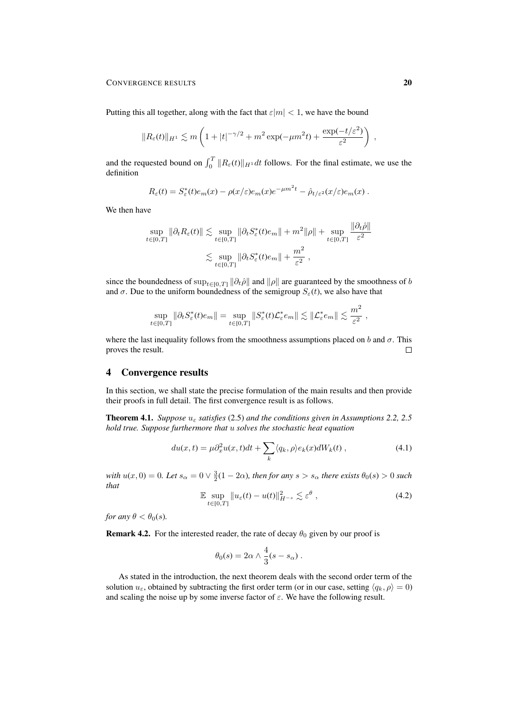Putting this all together, along with the fact that  $\varepsilon|m| < 1$ , we have the bound

$$
||R_{\varepsilon}(t)||_{H^1} \lesssim m\left(1+|t|^{-\gamma/2}+m^2\exp(-\mu m^2t)+\frac{\exp(-t/\varepsilon^2)}{\varepsilon^2}\right) ,
$$

and the requested bound on  $\int_0^T ||R_\varepsilon(t)||_{H^1} dt$  follows. For the final estimate, we use the definition

$$
R_{\varepsilon}(t) = S_{\varepsilon}^*(t)e_m(x) - \rho(x/\varepsilon)e_m(x)e^{-\mu m^2 t} - \hat{\rho}_{t/\varepsilon^2}(x/\varepsilon)e_m(x).
$$

We then have

$$
\sup_{t \in [0,T]} \|\partial_t R_{\varepsilon}(t)\| \lesssim \sup_{t \in [0,T]} \|\partial_t S_{\varepsilon}^*(t)e_m\| + m^2 \|\rho\| + \sup_{t \in [0,T]} \frac{\|\partial_t \hat{\rho}\|}{\varepsilon^2}
$$

$$
\lesssim \sup_{t \in [0,T]} \|\partial_t S_{\varepsilon}^*(t)e_m\| + \frac{m^2}{\varepsilon^2} ,
$$

since the boundedness of  $\sup_{t\in[0,T]} \|\partial_t \hat{\rho}\|$  and  $\|\rho\|$  are guaranteed by the smoothness of b and  $\sigma$ . Due to the uniform boundedness of the semigroup  $S_{\varepsilon}(t)$ , we also have that

$$
\sup_{t\in[0,T]}\|\partial_tS^*_{\varepsilon}(t)e_m\|=\sup_{t\in[0,T]}\|S^*_{\varepsilon}(t)\mathcal{L}^*_{\varepsilon}e_m\|\lesssim\|\mathcal{L}^*_{\varepsilon}e_m\|\lesssim\frac{m^2}{\varepsilon^2}\;,
$$

where the last inequality follows from the smoothness assumptions placed on b and  $\sigma$ . This proves the result.  $\Box$ 

# 4 Convergence results

In this section, we shall state the precise formulation of the main results and then provide their proofs in full detail. The first convergence result is as follows.

**Theorem 4.1.** *Suppose*  $u_{\varepsilon}$  *satisfies* (2.5) *and the conditions given in Assumptions 2.2, 2.5 hold true. Suppose furthermore that* u *solves the stochastic heat equation*

$$
du(x,t) = \mu \partial_x^2 u(x,t)dt + \sum_k \langle q_k, \rho \rangle e_k(x)dW_k(t) , \qquad (4.1)
$$

with  $u(x, 0) = 0$ . Let  $s_\alpha = 0 \vee \frac{3}{2}(1 - 2\alpha)$ , then for any  $s > s_\alpha$  there exists  $\theta_0(s) > 0$  such *that*

$$
\mathbb{E} \sup_{t \in [0,T]} \|u_{\varepsilon}(t) - u(t)\|_{H^{-s}}^2 \lesssim \varepsilon^{\theta} , \qquad (4.2)
$$

*for any*  $\theta < \theta_0(s)$ *.* 

**Remark 4.2.** For the interested reader, the rate of decay  $\theta_0$  given by our proof is

$$
\theta_0(s) = 2\alpha \wedge \frac{4}{3}(s - s_\alpha) \ .
$$

As stated in the introduction, the next theorem deals with the second order term of the solution  $u_{\varepsilon}$ , obtained by subtracting the first order term (or in our case, setting  $\langle q_k, \rho \rangle = 0$ ) and scaling the noise up by some inverse factor of  $\varepsilon$ . We have the following result.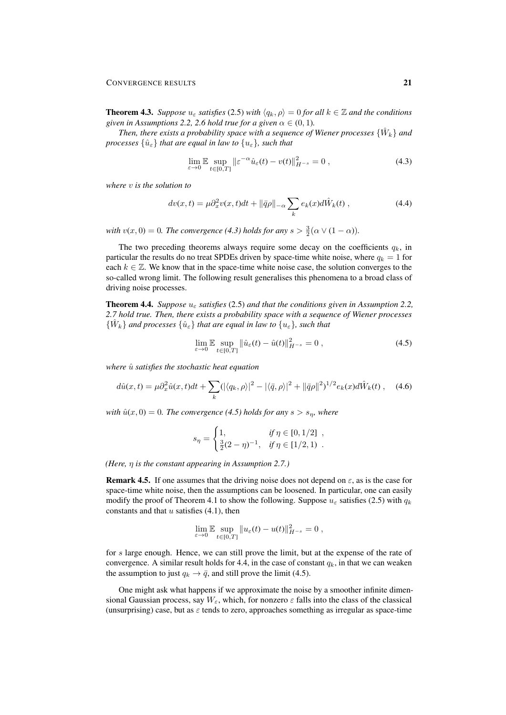**Theorem 4.3.** *Suppose*  $u_{\varepsilon}$  *satisfies* (2.5) *with*  $\langle q_k, \rho \rangle = 0$  *for all*  $k \in \mathbb{Z}$  *and the conditions given in Assumptions 2.2, 2.6 hold true for a given*  $\alpha \in (0, 1)$ *.* 

Then, there exists a probability space with a sequence of Wiener processes  $\{\hat{W}_k\}$  and *processes*  $\{\hat{u}_{\varepsilon}\}\$  *that are equal in law to*  $\{u_{\varepsilon}\}\$ *, such that* 

$$
\lim_{\varepsilon \to 0} \mathbb{E} \sup_{t \in [0,T]} \left\| \varepsilon^{-\alpha} \hat{u}_{\varepsilon}(t) - v(t) \right\|_{H^{-s}}^2 = 0, \tag{4.3}
$$

*where* v *is the solution to*

$$
dv(x,t) = \mu \partial_x^2 v(x,t)dt + ||\bar{q}\rho||_{-\alpha} \sum_k e_k(x)d\hat{W}_k(t) , \qquad (4.4)
$$

with  $v(x, 0) = 0$ . The convergence (4.3) holds for any  $s > \frac{3}{2}(\alpha \vee (1 - \alpha))$ .

The two preceding theorems always require some decay on the coefficients  $q_k$ , in particular the results do no treat SPDEs driven by space-time white noise, where  $q_k = 1$  for each  $k \in \mathbb{Z}$ . We know that in the space-time white noise case, the solution converges to the so-called wrong limit. The following result generalises this phenomena to a broad class of driving noise processes.

Theorem 4.4. *Suppose* u<sup>ε</sup> *satisfies* (2.5) *and that the conditions given in Assumption 2.2, 2.7 hold true. Then, there exists a probability space with a sequence of Wiener processes*  $\{\hat{W}_k\}$  and processes  $\{\hat{u}_{\varepsilon}\}\$  that are equal in law to  $\{u_{\varepsilon}\}\$ , such that

$$
\lim_{\varepsilon \to 0} \mathbb{E} \sup_{t \in [0,T]} ||\hat{u}_{\varepsilon}(t) - \hat{u}(t)||_{H^{-s}}^2 = 0 , \qquad (4.5)
$$

*where*  $\hat{u}$  *satisfies the stochastic heat equation* 

$$
d\hat{u}(x,t) = \mu \partial_x^2 \hat{u}(x,t)dt + \sum_k (|\langle q_k, \rho \rangle|^2 - |\langle \bar{q}, \rho \rangle|^2 + ||\bar{q}\rho||^2)^{1/2} e_k(x)d\hat{W}_k(t) , \quad (4.6)
$$

*with*  $\hat{u}(x, 0) = 0$ *. The convergence* (4.5) holds for any  $s > s_n$ *, where* 

$$
s_{\eta} = \begin{cases} 1, & \text{if } \eta \in [0, 1/2] ,\\ \frac{3}{2}(2-\eta)^{-1}, & \text{if } \eta \in [1/2, 1) . \end{cases}
$$

*(Here,* η *is the constant appearing in Assumption 2.7.)*

**Remark 4.5.** If one assumes that the driving noise does not depend on  $\varepsilon$ , as is the case for space-time white noise, then the assumptions can be loosened. In particular, one can easily modify the proof of Theorem 4.1 to show the following. Suppose  $u_{\varepsilon}$  satisfies (2.5) with  $q_k$ constants and that  $u$  satisfies  $(4.1)$ , then

$$
\lim_{\varepsilon \to 0} \mathbb{E} \sup_{t \in [0,T]} \|u_{\varepsilon}(t) - u(t)\|_{H^{-s}}^2 = 0,
$$

for s large enough. Hence, we can still prove the limit, but at the expense of the rate of convergence. A similar result holds for 4.4, in the case of constant  $q_k$ , in that we can weaken the assumption to just  $q_k \rightarrow \bar{q}$ , and still prove the limit (4.5).

One might ask what happens if we approximate the noise by a smoother infinite dimensional Gaussian process, say  $W_{\varepsilon}$ , which, for nonzero  $\varepsilon$  falls into the class of the classical (unsurprising) case, but as  $\varepsilon$  tends to zero, approaches something as irregular as space-time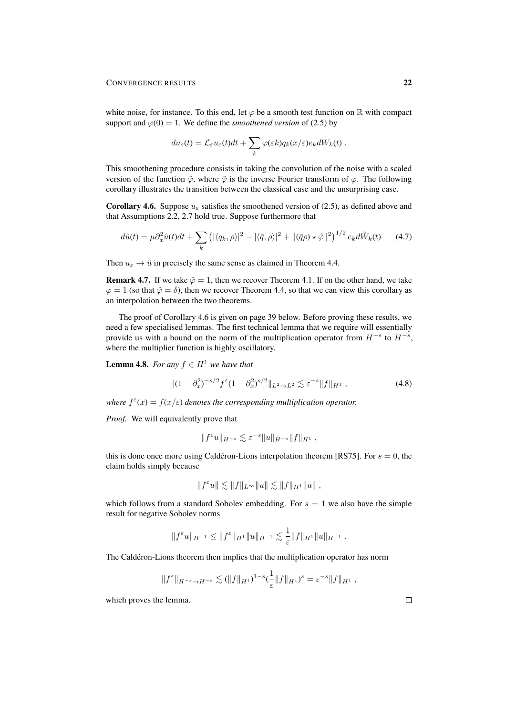white noise, for instance. To this end, let  $\varphi$  be a smooth test function on R with compact support and  $\varphi(0) = 1$ . We define the *smoothened version* of (2.5) by

$$
du_{\varepsilon}(t) = \mathcal{L}_{\varepsilon}u_{\varepsilon}(t)dt + \sum_{k} \varphi(\varepsilon k)q_k(x/\varepsilon)e_k dW_k(t).
$$

This smoothening procedure consists in taking the convolution of the noise with a scaled version of the function  $\tilde{\varphi}$ , where  $\tilde{\varphi}$  is the inverse Fourier transform of  $\varphi$ . The following corollary illustrates the transition between the classical case and the unsurprising case.

**Corollary 4.6.** Suppose  $u_{\epsilon}$  satisfies the smoothened version of (2.5), as defined above and that Assumptions 2.2, 2.7 hold true. Suppose furthermore that

$$
d\hat{u}(t) = \mu \partial_x^2 \hat{u}(t)dt + \sum_k \left( |\langle q_k, \rho \rangle|^2 - |\langle \bar{q}, \rho \rangle|^2 + ||(\bar{q}\rho) \star \tilde{\varphi}||^2 \right)^{1/2} e_k d\hat{W}_k(t) \tag{4.7}
$$

Then  $u_{\varepsilon} \to \hat{u}$  in precisely the same sense as claimed in Theorem 4.4.

**Remark 4.7.** If we take  $\tilde{\varphi} = 1$ , then we recover Theorem 4.1. If on the other hand, we take  $\varphi = 1$  (so that  $\tilde{\varphi} = \delta$ ), then we recover Theorem 4.4, so that we can view this corollary as an interpolation between the two theorems.

The proof of Corollary 4.6 is given on page 39 below. Before proving these results, we need a few specialised lemmas. The first technical lemma that we require will essentially provide us with a bound on the norm of the multiplication operator from  $H^{-s}$  to  $H^{-s}$ , where the multiplier function is highly oscillatory.

**Lemma 4.8.** *For any*  $f \in H^1$  *we have that* 

$$
\|(1 - \partial_x^2)^{-s/2} f^{\varepsilon} (1 - \partial_x^2)^{s/2} \|_{L^2 \to L^2} \lesssim \varepsilon^{-s} \|f\|_{H^1},
$$
\n(4.8)

*where*  $f^{\varepsilon}(x) = f(x/\varepsilon)$  *denotes the corresponding multiplication operator.* 

*Proof.* We will equivalently prove that

$$
||f^{\varepsilon}u||_{H^{-s}} \lesssim \varepsilon^{-s}||u||_{H^{-s}}||f||_{H^1},
$$

this is done once more using Calderon-Lions interpolation theorem [RS75]. For  $s = 0$ , the claim holds simply because

$$
||f^{\varepsilon}u|| \lesssim ||f||_{L^{\infty}}||u|| \lesssim ||f||_{H^{1}}||u||,
$$

which follows from a standard Sobolev embedding. For  $s = 1$  we also have the simple result for negative Sobolev norms

$$
||f^{\varepsilon}u||_{H^{-1}} \leq ||f^{\varepsilon}||_{H^1} ||u||_{H^{-1}} \lesssim \frac{1}{\varepsilon} ||f||_{H^1} ||u||_{H^{-1}}.
$$

The Caldéron-Lions theorem then implies that the multiplication operator has norm

$$
||f^{\varepsilon}||_{H^{-s}\to H^{-s}} \lesssim (||f||_{H^1})^{1-s} (\frac{1}{\varepsilon}||f||_{H^1})^s = \varepsilon^{-s}||f||_{H^1},
$$

which proves the lemma.

 $\Box$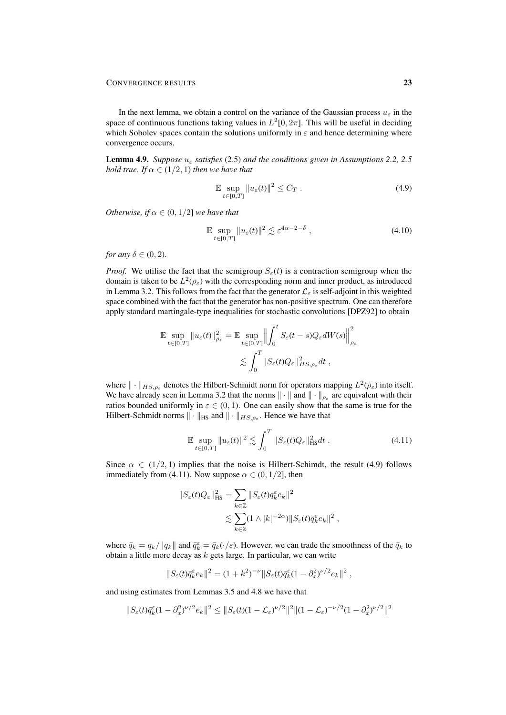In the next lemma, we obtain a control on the variance of the Gaussian process  $u_{\varepsilon}$  in the space of continuous functions taking values in  $L^2[0, 2\pi]$ . This will be useful in deciding which Sobolev spaces contain the solutions uniformly in  $\varepsilon$  and hence determining where convergence occurs.

**Lemma 4.9.** *Suppose*  $u_{\varepsilon}$  *satisfies* (2.5) *and the conditions given in Assumptions 2.2, 2.5 hold true. If*  $\alpha \in (1/2, 1)$  *then we have that* 

$$
\mathbb{E} \sup_{t \in [0,T]} \|u_{\varepsilon}(t)\|^2 \le C_T. \tag{4.9}
$$

*Otherwise, if*  $\alpha \in (0, 1/2]$  *we have that* 

$$
\mathbb{E} \sup_{t \in [0,T]} \|u_{\varepsilon}(t)\|^2 \lesssim \varepsilon^{4\alpha - 2 - \delta} ,\tag{4.10}
$$

*for any*  $\delta \in (0, 2)$ *.* 

*Proof.* We utilise the fact that the semigroup  $S_{\epsilon}(t)$  is a contraction semigroup when the domain is taken to be  $L^2(\rho_{\varepsilon})$  with the corresponding norm and inner product, as introduced in Lemma 3.2. This follows from the fact that the generator  $\mathcal{L}_{\varepsilon}$  is self-adjoint in this weighted space combined with the fact that the generator has non-positive spectrum. One can therefore apply standard martingale-type inequalities for stochastic convolutions [DPZ92] to obtain

$$
\mathbb{E} \sup_{t \in [0,T]} \|u_{\varepsilon}(t)\|_{\rho_{\varepsilon}}^2 = \mathbb{E} \sup_{t \in [0,T]} \Big\| \int_0^t S_{\varepsilon}(t-s) Q_{\varepsilon} dW(s) \Big\|_{\rho_{\varepsilon}}^2
$$
  

$$
\lesssim \int_0^T \|S_{\varepsilon}(t) Q_{\varepsilon}\|_{HS, \rho_{\varepsilon}}^2 dt,
$$

where  $\|\cdot\|_{HS,\rho_{\varepsilon}}$  denotes the Hilbert-Schmidt norm for operators mapping  $L^2(\rho_{\varepsilon})$  into itself. We have already seen in Lemma 3.2 that the norms  $\|\cdot\|$  and  $\|\cdot\|_{\rho_{\varepsilon}}$  are equivalent with their ratios bounded uniformly in  $\varepsilon \in (0, 1)$ . One can easily show that the same is true for the Hilbert-Schmidt norms  $\|\cdot\|_{\text{HS}}$  and  $\|\cdot\|_{HS, \rho_{\varepsilon}}$ . Hence we have that

$$
\mathbb{E} \sup_{t \in [0,T]} \|u_{\varepsilon}(t)\|^2 \lesssim \int_0^T \|S_{\varepsilon}(t)Q_{\varepsilon}\|_{\text{HS}}^2 dt \ . \tag{4.11}
$$

,

Since  $\alpha \in (1/2, 1)$  implies that the noise is Hilbert-Schimdt, the result (4.9) follows immediately from (4.11). Now suppose  $\alpha \in (0, 1/2]$ , then

$$
||S_{\varepsilon}(t)Q_{\varepsilon}||_{\text{HS}}^2 = \sum_{k \in \mathbb{Z}} ||S_{\varepsilon}(t)q_k^{\varepsilon}e_k||^2
$$
  

$$
\lesssim \sum_{k \in \mathbb{Z}} (1 \wedge |k|^{-2\alpha}) ||S_{\varepsilon}(t)\bar{q}_k^{\varepsilon}e_k||^2
$$

where  $\bar{q}_k = q_k / ||q_k||$  and  $\bar{q}_k^{\varepsilon} = \bar{q}_k(\cdot/\varepsilon)$ . However, we can trade the smoothness of the  $\bar{q}_k$  to obtain a little more decay as  $k$  gets large. In particular, we can write

$$
||S_{\varepsilon}(t)\bar{q}_{k}^{\varepsilon}e_{k}||^{2} = (1+k^{2})^{-\nu}||S_{\varepsilon}(t)\bar{q}_{k}^{\varepsilon}(1-\partial_{x}^{2})^{\nu/2}e_{k}||^{2},
$$

and using estimates from Lemmas 3.5 and 4.8 we have that

$$
||S_{\varepsilon}(t)\bar{q}_{k}^{\varepsilon}(1-\partial_{x}^{2})^{\nu/2}e_{k}||^{2} \leq ||S_{\varepsilon}(t)(1-\mathcal{L}_{\varepsilon})^{\nu/2}||^{2}||(1-\mathcal{L}_{\varepsilon})^{-\nu/2}(1-\partial_{x}^{2})^{\nu/2}||^{2}
$$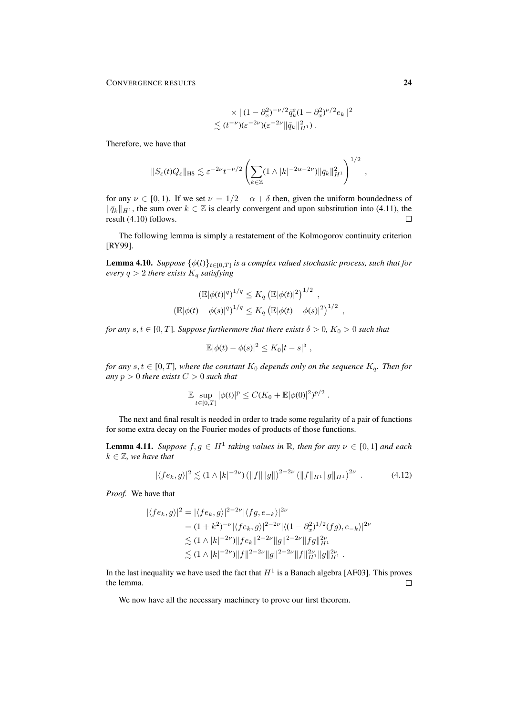$$
\times \| (1 - \partial_x^2)^{-\nu/2} \bar{q}_k^{\varepsilon} (1 - \partial_x^2)^{\nu/2} e_k \|^2
$$
  

$$
\lesssim (t^{-\nu})(\varepsilon^{-2\nu})(\varepsilon^{-2\nu} \|\bar{q}_k\|_{H^1}^2).
$$

Therefore, we have that

$$
||S_{\varepsilon}(t)Q_{\varepsilon}||_{\text{HS}} \lesssim \varepsilon^{-2\nu} t^{-\nu/2} \left( \sum_{k \in \mathbb{Z}} (1 \wedge |k|^{-2\alpha - 2\nu}) ||\bar{q}_k||_{H^1}^2 \right)^{1/2},
$$

for any  $\nu \in [0, 1)$ . If we set  $\nu = 1/2 - \alpha + \delta$  then, given the uniform boundedness of  $\|\bar{q}_k\|_{H^1}$ , the sum over  $k \in \mathbb{Z}$  is clearly convergent and upon substitution into (4.11), the result (4.10) follows.  $\Box$ 

The following lemma is simply a restatement of the Kolmogorov continuity criterion [RY99].

**Lemma 4.10.** *Suppose*  $\{\phi(t)\}_{t\in[0,T]}$  *is a complex valued stochastic process, such that for*  $every q > 2$  *there exists*  $K_q$  *satisfying* 

$$
\left(\mathbb{E}|\phi(t)|^{q}\right)^{1/q} \leq K_{q} \left(\mathbb{E}|\phi(t)|^{2}\right)^{1/2},
$$
  

$$
\left(\mathbb{E}|\phi(t) - \phi(s)|^{q}\right)^{1/q} \leq K_{q} \left(\mathbb{E}|\phi(t) - \phi(s)|^{2}\right)^{1/2},
$$

*for any*  $s, t \in [0, T]$ *. Suppose furthermore that there exists*  $\delta > 0$ *,*  $K_0 > 0$  *such that* 

$$
\mathbb{E}|\phi(t) - \phi(s)|^2 \leq K_0|t - s|^\delta,
$$

*for any*  $s, t \in [0, T]$ *, where the constant*  $K_0$  *depends only on the sequence*  $K_q$ *. Then for any*  $p > 0$  *there exists*  $C > 0$  *such that* 

$$
\mathbb{E} \sup_{t \in [0,T]} |\phi(t)|^p \le C(K_0 + \mathbb{E} |\phi(0)|^2)^{p/2} .
$$

The next and final result is needed in order to trade some regularity of a pair of functions for some extra decay on the Fourier modes of products of those functions.

**Lemma 4.11.** *Suppose*  $f, g \in H^1$  *taking values in* R, *then for any*  $\nu \in [0, 1]$  *and each*  $k \in \mathbb{Z}$ , we have that

$$
|\langle fe_k, g \rangle|^2 \lesssim (1 \wedge |k|^{-2\nu}) \left( \|f\| \|g\| \right)^{2-2\nu} \left( \|f\|_{H^1} \|g\|_{H^1} \right)^{2\nu} . \tag{4.12}
$$

*Proof.* We have that

$$
\begin{aligned} |\langle fe_k, g \rangle|^2 &= |\langle fe_k, g \rangle|^{2-2\nu} |\langle fg, e_{-k} \rangle|^{2\nu} \\ &= (1 + k^2)^{-\nu} |\langle fe_k, g \rangle|^{2-2\nu} |\langle (1 - \partial_x^2)^{1/2} (fg), e_{-k} \rangle|^{2\nu} \\ &\lesssim (1 \wedge |k|^{-2\nu}) \|fe_k\|^{2-2\nu} \|g\|^{2-2\nu} \|fg\|_{H^1}^{2\nu} \\ &\lesssim (1 \wedge |k|^{-2\nu}) \|f\|^{2-2\nu} \|g\|^{2-2\nu} \|f\|_{H^1}^{2\nu} \|g\|_{H^1}^{2\nu} \,. \end{aligned}
$$

In the last inequality we have used the fact that  $H^1$  is a Banach algebra [AF03]. This proves the lemma.  $\Box$ 

We now have all the necessary machinery to prove our first theorem.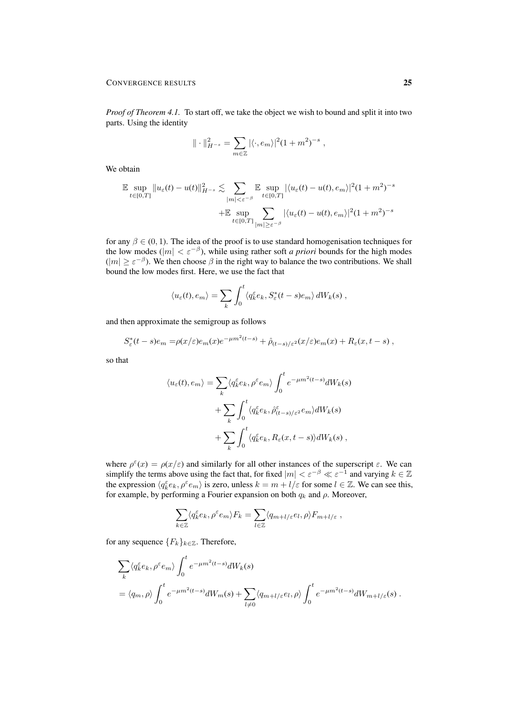*Proof of Theorem 4.1.* To start off, we take the object we wish to bound and split it into two parts. Using the identity

$$
\|\cdot\|_{H^{-s}}^2 = \sum_{m\in\mathbb{Z}} |\langle \cdot, e_m \rangle|^2 (1+m^2)^{-s} ,
$$

We obtain

$$
\mathbb{E} \sup_{t \in [0,T]} \|u_{\varepsilon}(t) - u(t)\|_{H^{-s}}^2 \lesssim \sum_{\substack{|m| < \varepsilon^{-\beta} \\ t \in [0,T]}} \mathbb{E} \sup_{t \in [0,T]} |\langle u_{\varepsilon}(t) - u(t), e_m \rangle|^2 (1 + m^2)^{-s} \n+ \mathbb{E} \sup_{t \in [0,T]} \sum_{\substack{|m| \ge \varepsilon^{-\beta} \\ t \in [0,T]} } |\langle u_{\varepsilon}(t) - u(t), e_m \rangle|^2 (1 + m^2)^{-s}
$$

for any  $\beta \in (0, 1)$ . The idea of the proof is to use standard homogenisation techniques for the low modes ( $|m| < \varepsilon^{-\beta}$ ), while using rather soft *a priori* bounds for the high modes  $(|m| \ge \varepsilon^{-\beta})$ . We then choose  $\beta$  in the right way to balance the two contributions. We shall bound the low modes first. Here, we use the fact that

$$
\langle u_{\varepsilon}(t), e_m \rangle = \sum_{k} \int_{0}^{t} \langle q_k^{\varepsilon} e_k, S_{\varepsilon}^*(t-s) e_m \rangle dW_k(s) ,
$$

and then approximate the semigroup as follows

$$
S_{\varepsilon}^*(t-s)e_m = \rho(x/\varepsilon)e_m(x)e^{-\mu m^2(t-s)} + \hat{\rho}_{(t-s)/\varepsilon^2}(x/\varepsilon)e_m(x) + R_{\varepsilon}(x,t-s),
$$

so that

$$
\langle u_{\varepsilon}(t), e_m \rangle = \sum_{k} \langle q_k^{\varepsilon} e_k, \rho^{\varepsilon} e_m \rangle \int_0^t e^{-\mu m^2 (t-s)} dW_k(s)
$$

$$
+ \sum_{k} \int_0^t \langle q_k^{\varepsilon} e_k, \hat{\rho}_{(t-s)/\varepsilon^2}^{\varepsilon} e_m \rangle dW_k(s)
$$

$$
+ \sum_{k} \int_0^t \langle q_k^{\varepsilon} e_k, R_{\varepsilon}(x, t-s) \rangle dW_k(s) ,
$$

where  $\rho^{\epsilon}(x) = \rho(x/\epsilon)$  and similarly for all other instances of the superscript  $\epsilon$ . We can simplify the terms above using the fact that, for fixed  $|m| < \varepsilon^{-\beta} \ll \varepsilon^{-1}$  and varying  $k \in \mathbb{Z}$ the expression  $\langle q_k^{\varepsilon} e_k, \rho^{\varepsilon} e_m \rangle$  is zero, unless  $k = m + l/\varepsilon$  for some  $l \in \mathbb{Z}$ . We can see this, for example, by performing a Fourier expansion on both  $q_k$  and  $\rho$ . Moreover,

$$
\sum_{k\in\mathbb{Z}}\langle q_k^\varepsilon e_k,\rho^\varepsilon e_m\rangle F_k=\sum_{l\in\mathbb{Z}}\langle q_{m+l/\varepsilon}e_l,\rho\rangle F_{m+l/\varepsilon}\;,
$$

for any sequence  ${F_k}_{k \in \mathbb{Z}}$ . Therefore,

$$
\sum_{k} \langle q_k^{\varepsilon} e_k, \rho^{\varepsilon} e_m \rangle \int_0^t e^{-\mu m^2(t-s)} dW_k(s)
$$
  
=  $\langle q_m, \rho \rangle \int_0^t e^{-\mu m^2(t-s)} dW_m(s) + \sum_{l \neq 0} \langle q_{m+l/\varepsilon} e_l, \rho \rangle \int_0^t e^{-\mu m^2(t-s)} dW_{m+l/\varepsilon}(s) .$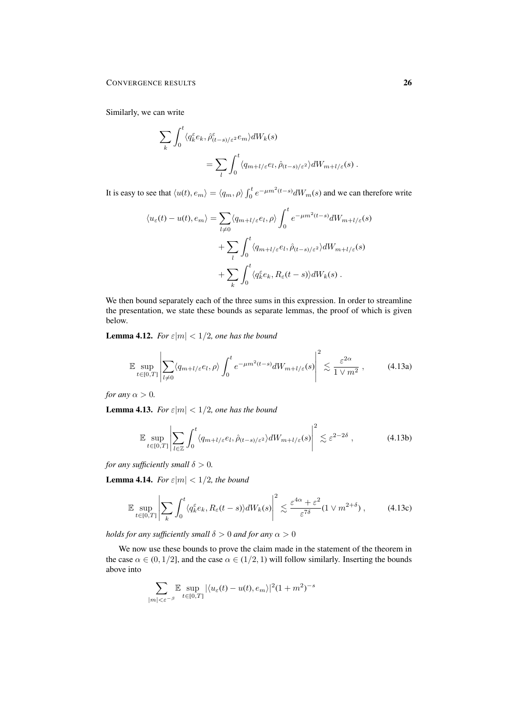Similarly, we can write

$$
\sum_{k} \int_{0}^{t} \langle q_{k}^{\varepsilon} e_{k}, \hat{\rho}_{(t-s)/\varepsilon^{2}}^{\varepsilon} e_{m} \rangle dW_{k}(s)
$$
  

$$
= \sum_{l} \int_{0}^{t} \langle q_{m+l/\varepsilon} e_{l}, \hat{\rho}_{(t-s)/\varepsilon^{2}} \rangle dW_{m+l/\varepsilon}(s) .
$$

It is easy to see that  $\langle u(t), e_m \rangle = \langle q_m, \rho \rangle \int_0^t e^{-\mu m^2(t-s)} dW_m(s)$  and we can therefore write

$$
\langle u_{\varepsilon}(t) - u(t), e_m \rangle = \sum_{l \neq 0} \langle q_{m+l/\varepsilon} e_l, \rho \rangle \int_0^t e^{-\mu m^2 (t-s)} dW_{m+l/\varepsilon}(s)
$$

$$
+ \sum_l \int_0^t \langle q_{m+l/\varepsilon} e_l, \hat{\rho}_{(t-s)/\varepsilon^2} \rangle dW_{m+l/\varepsilon}(s)
$$

$$
+ \sum_k \int_0^t \langle q_k^{\varepsilon} e_k, R_{\varepsilon}(t-s) \rangle dW_k(s) .
$$

We then bound separately each of the three sums in this expression. In order to streamline the presentation, we state these bounds as separate lemmas, the proof of which is given below.

**Lemma 4.12.** *For*  $\varepsilon |m| < 1/2$ *, one has the bound* 

$$
\mathbb{E} \sup_{t \in [0,T]} \left| \sum_{l \neq 0} \langle q_{m+l/\varepsilon} e_l, \rho \rangle \int_0^t e^{-\mu m^2 (t-s)} dW_{m+l/\varepsilon}(s) \right|^2 \lesssim \frac{\varepsilon^{2\alpha}}{1 \vee m^2}, \tag{4.13a}
$$

*for any*  $\alpha > 0$ *.* 

**Lemma 4.13.** *For*  $\varepsilon |m| < 1/2$ *, one has the bound* 

$$
\mathbb{E} \sup_{t \in [0,T]} \left| \sum_{l \in \mathbb{Z}} \int_0^t \langle q_{m+l/\varepsilon} e_l, \hat{\rho}_{(t-s)/\varepsilon^2} \rangle dW_{m+l/\varepsilon}(s) \right|^2 \lesssim \varepsilon^{2-2\delta} , \tag{4.13b}
$$

*for any sufficiently small*  $\delta > 0$ *.* 

**Lemma 4.14.** *For*  $\varepsilon |m| < 1/2$ *, the bound* 

$$
\mathbb{E} \sup_{t \in [0,T]} \left| \sum_{k} \int_{0}^{t} \langle q_k^{\varepsilon} e_k, R_{\varepsilon}(t-s) \rangle dW_k(s) \right|^2 \lesssim \frac{\varepsilon^{4\alpha} + \varepsilon^2}{\varepsilon^{7\delta}} (1 \vee m^{2+\delta}), \tag{4.13c}
$$

*holds for any sufficiently small*  $\delta > 0$  *and for any*  $\alpha > 0$ 

We now use these bounds to prove the claim made in the statement of the theorem in the case  $\alpha \in (0, 1/2]$ , and the case  $\alpha \in (1/2, 1)$  will follow similarly. Inserting the bounds above into

$$
\sum_{|m|<\varepsilon^{-\beta}} \mathbb{E} \sup_{t\in[0,T]} |\langle u_{\varepsilon}(t) - u(t), e_m \rangle|^2 (1+m^2)^{-s}
$$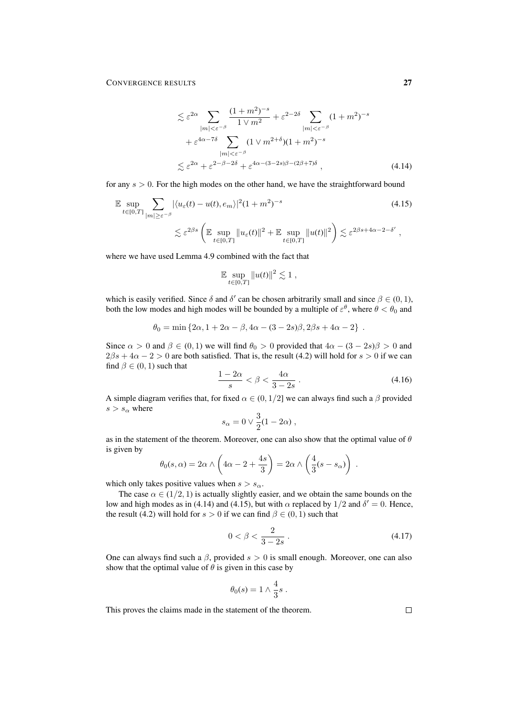$$
\lesssim \varepsilon^{2\alpha} \sum_{|m|<\varepsilon^{-\beta}} \frac{(1+m^2)^{-s}}{1\vee m^2} + \varepsilon^{2-2\delta} \sum_{|m|<\varepsilon^{-\beta}} (1+m^2)^{-s}
$$
  
+  $\varepsilon^{4\alpha-7\delta} \sum_{|m|<\varepsilon^{-\beta}} (1\vee m^{2+\delta})(1+m^2)^{-s}$   
 $\lesssim \varepsilon^{2\alpha} + \varepsilon^{2-\beta-2\delta} + \varepsilon^{4\alpha-(3-2s)\beta-(2\beta+7)\delta}$ , (4.14)

for any  $s > 0$ . For the high modes on the other hand, we have the straightforward bound

$$
\mathbb{E} \sup_{t \in [0,T]} \sum_{|m| \ge \varepsilon^{-\beta}} |\langle u_{\varepsilon}(t) - u(t), e_m \rangle|^2 (1 + m^2)^{-s}
$$
\n
$$
\lesssim \varepsilon^{2\beta s} \left( \mathbb{E} \sup_{t \in [0,T]} \|u_{\varepsilon}(t)\|^2 + \mathbb{E} \sup_{t \in [0,T]} \|u(t)\|^2 \right) \lesssim \varepsilon^{2\beta s + 4\alpha - 2 - \delta'},
$$
\n(4.15)

where we have used Lemma 4.9 combined with the fact that

$$
\mathbb{E} \sup_{t \in [0,T]} \|u(t)\|^2 \lesssim 1,
$$

which is easily verified. Since  $\delta$  and  $\delta'$  can be chosen arbitrarily small and since  $\beta \in (0,1)$ , both the low modes and high modes will be bounded by a multiple of  $\varepsilon^{\theta}$ , where  $\theta < \theta_0$  and

$$
\theta_0 = \min \{ 2\alpha, 1 + 2\alpha - \beta, 4\alpha - (3 - 2s)\beta, 2\beta s + 4\alpha - 2 \} .
$$

Since  $\alpha > 0$  and  $\beta \in (0, 1)$  we will find  $\theta_0 > 0$  provided that  $4\alpha - (3 - 2s)\beta > 0$  and  $2\beta s + 4\alpha - 2 > 0$  are both satisfied. That is, the result (4.2) will hold for  $s > 0$  if we can find  $\beta \in (0, 1)$  such that

$$
\frac{1-2\alpha}{s} < \beta < \frac{4\alpha}{3-2s} \tag{4.16}
$$

A simple diagram verifies that, for fixed  $\alpha \in (0, 1/2]$  we can always find such a  $\beta$  provided  $s > s_\alpha$  where

$$
s_{\alpha} = 0 \vee \frac{3}{2}(1 - 2\alpha) ,
$$

as in the statement of the theorem. Moreover, one can also show that the optimal value of  $\theta$ is given by

$$
\theta_0(s,\alpha) = 2\alpha \wedge \left(4\alpha - 2 + \frac{4s}{3}\right) = 2\alpha \wedge \left(\frac{4}{3}(s - s_\alpha)\right).
$$

which only takes positive values when  $s > s_{\alpha}$ .

The case  $\alpha \in (1/2, 1)$  is actually slightly easier, and we obtain the same bounds on the low and high modes as in (4.14) and (4.15), but with  $\alpha$  replaced by  $1/2$  and  $\delta' = 0$ . Hence, the result (4.2) will hold for  $s > 0$  if we can find  $\beta \in (0, 1)$  such that

$$
0 < \beta < \frac{2}{3 - 2s} \tag{4.17}
$$

One can always find such a  $\beta$ , provided  $s > 0$  is small enough. Moreover, one can also show that the optimal value of  $\theta$  is given in this case by

$$
\theta_0(s) = 1 \wedge \frac{4}{3}s.
$$

This proves the claims made in the statement of the theorem.

 $\Box$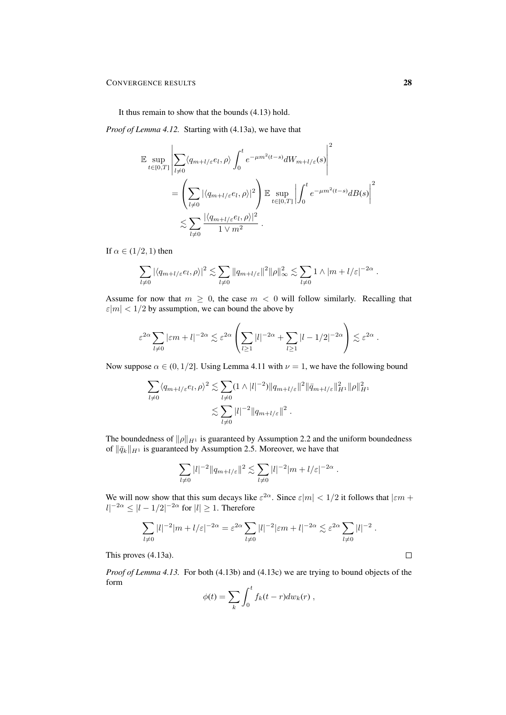It thus remain to show that the bounds (4.13) hold.

*Proof of Lemma 4.12.* Starting with (4.13a), we have that

$$
\mathbb{E} \sup_{t \in [0,T]} \left| \sum_{l \neq 0} \langle q_{m+l/\varepsilon} e_l, \rho \rangle \int_0^t e^{-\mu m^2 (t-s)} dW_{m+l/\varepsilon}(s) \right|^2
$$
  
= 
$$
\left( \sum_{l \neq 0} |\langle q_{m+l/\varepsilon} e_l, \rho \rangle|^2 \right) \mathbb{E} \sup_{t \in [0,T]} \left| \int_0^t e^{-\mu m^2 (t-s)} dB(s) \right|^2
$$
  

$$
\lesssim \sum_{l \neq 0} \frac{|\langle q_{m+l/\varepsilon} e_l, \rho \rangle|^2}{1 \vee m^2} .
$$

If  $\alpha \in (1/2, 1)$  then

$$
\sum_{l\neq 0} |\langle q_{m+l/\varepsilon} e_l,\rho\rangle|^2 \lesssim \sum_{l\neq 0} ||q_{m+l/\varepsilon}||^2 ||\rho||_\infty^2 \lesssim \sum_{l\neq 0} 1 \wedge |m+l/\varepsilon|^{-2\alpha} .
$$

Assume for now that  $m \geq 0$ , the case  $m < 0$  will follow similarly. Recalling that  $|\varepsilon|m| < 1/2$  by assumption, we can bound the above by

$$
\varepsilon^{2\alpha} \sum_{l\neq 0} |\varepsilon m+l|^{-2\alpha} \lesssim \varepsilon^{2\alpha} \left( \sum_{l\geq 1} |l|^{-2\alpha} + \sum_{l\geq 1} |l-1/2|^{-2\alpha} \right) \lesssim \varepsilon^{2\alpha}.
$$

Now suppose  $\alpha \in (0, 1/2]$ . Using Lemma 4.11 with  $\nu = 1$ , we have the following bound

$$
\sum_{l\neq 0} \langle q_{m+l/\varepsilon}e_l,\rho\rangle^2 \lesssim \sum_{l\neq 0} (1\wedge|l|^{-2})\|q_{m+l/\varepsilon}\|^2 \|\bar{q}_{m+l/\varepsilon}\|_{H^1}^2 \|\rho\|_{H^1}^2
$$
  

$$
\lesssim \sum_{l\neq 0} |l|^{-2} \|q_{m+l/\varepsilon}\|^2.
$$

The boundedness of  $\|\rho\|_{H^1}$  is guaranteed by Assumption 2.2 and the uniform boundedness of  $\|\bar{q}_k\|_{H^1}$  is guaranteed by Assumption 2.5. Moreover, we have that

$$
\sum_{l\neq 0} |l|^{-2} \|q_{m+l/\varepsilon}\|^2 \lesssim \sum_{l\neq 0} |l|^{-2} |m+l/\varepsilon|^{-2\alpha} \; .
$$

We will now show that this sum decays like  $\varepsilon^{2\alpha}$ . Since  $\varepsilon |m| < 1/2$  it follows that  $|\varepsilon m +$  $|l|^{-2\alpha} \leq |l-1/2|^{-2\alpha}$  for  $|l| \geq 1$ . Therefore

$$
\sum_{l\neq 0} |l|^{-2} |m+l/\varepsilon|^{-2\alpha} = \varepsilon^{2\alpha} \sum_{l\neq 0} |l|^{-2} |\varepsilon m+l|^{-2\alpha} \lesssim \varepsilon^{2\alpha} \sum_{l\neq 0} |l|^{-2} .
$$

This proves (4.13a).

*Proof of Lemma 4.13.* For both (4.13b) and (4.13c) we are trying to bound objects of the form

$$
\phi(t) = \sum_{k} \int_0^t f_k(t-r) dw_k(r) ,
$$

 $\Box$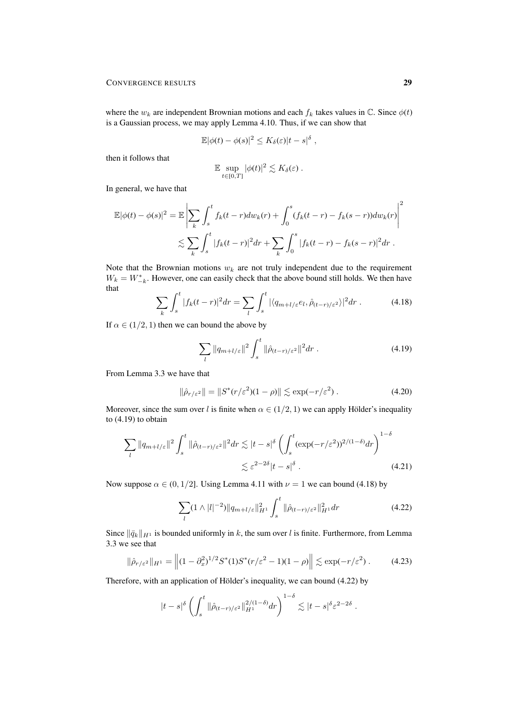where the  $w_k$  are independent Brownian motions and each  $f_k$  takes values in  $\mathbb{C}$ . Since  $\phi(t)$ is a Gaussian process, we may apply Lemma 4.10. Thus, if we can show that

$$
\mathbb{E}|\phi(t)-\phi(s)|^2\leq K_\delta(\varepsilon)|t-s|^\delta,
$$

then it follows that

$$
\mathbb{E} \sup_{t \in [0,T]} |\phi(t)|^2 \lesssim K_\delta(\varepsilon) .
$$

In general, we have that

$$
\mathbb{E}|\phi(t) - \phi(s)|^2 = \mathbb{E}\left|\sum_{k} \int_{s}^{t} f_k(t-r)dw_k(r) + \int_{0}^{s} (f_k(t-r) - f_k(s-r))dw_k(r)\right|^2
$$
  

$$
\lesssim \sum_{k} \int_{s}^{t} |f_k(t-r)|^2 dr + \sum_{k} \int_{0}^{s} |f_k(t-r) - f_k(s-r)|^2 dr.
$$

Note that the Brownian motions  $w_k$  are not truly independent due to the requirement  $W_k = W_{-k}^*$ . However, one can easily check that the above bound still holds. We then have that

$$
\sum_{k} \int_{s}^{t} |f_{k}(t-r)|^{2} dr = \sum_{l} \int_{s}^{t} |\langle q_{m+l/\varepsilon} e_{l}, \hat{\rho}_{(t-r)/\varepsilon^{2}} \rangle|^{2} dr . \tag{4.18}
$$

If  $\alpha \in (1/2, 1)$  then we can bound the above by

$$
\sum_{l} \|q_{m+l/\varepsilon}\|^2 \int_s^t \|\hat{\rho}_{(t-r)/\varepsilon^2}\|^2 dr \ . \tag{4.19}
$$

From Lemma 3.3 we have that

$$
\|\hat{\rho}_{r/\varepsilon^2}\| = \|S^*(r/\varepsilon^2)(1-\rho)\| \lesssim \exp(-r/\varepsilon^2) \,. \tag{4.20}
$$

Moreover, since the sum over l is finite when  $\alpha \in (1/2, 1)$  we can apply Hölder's inequality to (4.19) to obtain

$$
\sum_{l} \|q_{m+l/\varepsilon}\|^2 \int_s^t \|\hat{\rho}_{(t-r)/\varepsilon^2}\|^2 dr \lesssim |t-s|^\delta \left(\int_s^t (\exp(-r/\varepsilon^2))^{2/(1-\delta)} dr\right)^{1-\delta}
$$
  

$$
\lesssim \varepsilon^{2-2\delta} |t-s|^\delta . \tag{4.21}
$$

Now suppose  $\alpha \in (0, 1/2]$ . Using Lemma 4.11 with  $\nu = 1$  we can bound (4.18) by

$$
\sum_{l} (1 \wedge |l|^{-2}) \|q_{m+l/\varepsilon}\|_{H^1}^2 \int_s^t \|\hat{\rho}_{(t-r)/\varepsilon^2}\|_{H^1}^2 dr \tag{4.22}
$$

Since  $\|\bar{q}_k\|_{H^1}$  is bounded uniformly in k, the sum over l is finite. Furthermore, from Lemma 3.3 we see that

$$
\|\hat{\rho}_{r/\varepsilon^2}\|_{H^1} = \left\| (1 - \partial_x^2)^{1/2} S^*(1) S^*(r/\varepsilon^2 - 1)(1 - \rho) \right\| \lesssim \exp(-r/\varepsilon^2). \tag{4.23}
$$

Therefore, with an application of Hölder's inequality, we can bound  $(4.22)$  by

$$
|t-s|^\delta \left(\int_s^t \|\hat{\rho}_{(t-r)/\varepsilon^2}\|_{H^1}^{2/(1-\delta)} dr\right)^{1-\delta} \lesssim |t-s|^\delta \varepsilon^{2-2\delta}.
$$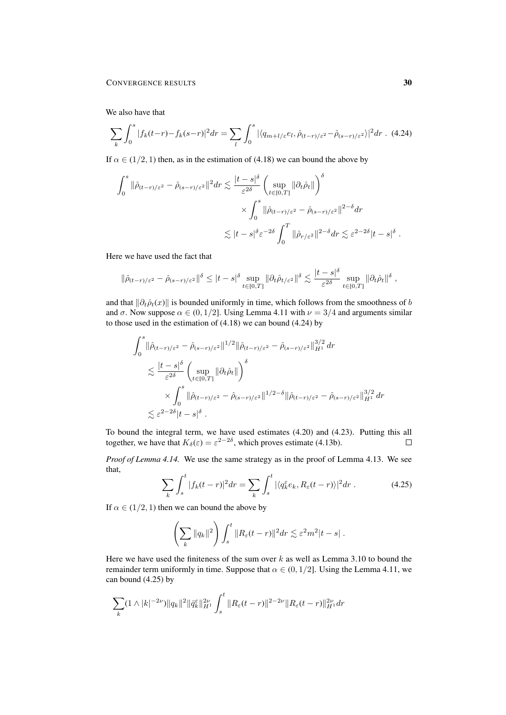We also have that

$$
\sum_{k} \int_{0}^{s} |f_{k}(t-r)-f_{k}(s-r)|^{2} dr = \sum_{l} \int_{0}^{s} |\langle q_{m+l/\varepsilon}e_{l}, \hat{\rho}_{(t-r)/\varepsilon^{2}} - \hat{\rho}_{(s-r)/\varepsilon^{2}} \rangle|^{2} dr
$$
 (4.24)

If  $\alpha \in (1/2, 1)$  then, as in the estimation of (4.18) we can bound the above by

$$
\int_0^s \|\hat{\rho}_{(t-r)/\varepsilon^2} - \hat{\rho}_{(s-r)/\varepsilon^2}\|^2 dr \lesssim \frac{|t-s|^{\delta}}{\varepsilon^{2\delta}} \left(\sup_{t \in [0,T]} \|\partial_t \hat{\rho}_t\| \right)^{\delta}
$$

$$
\times \int_0^s \|\hat{\rho}_{(t-r)/\varepsilon^2} - \hat{\rho}_{(s-r)/\varepsilon^2}\|^2^{-\delta} dr
$$

$$
\lesssim |t-s|^{\delta} \varepsilon^{-2\delta} \int_0^T \|\hat{\rho}_{r/\varepsilon^2}\|^2^{-\delta} dr \lesssim \varepsilon^{2-2\delta} |t-s|^{\delta} .
$$

Here we have used the fact that

$$
\|\hat{\rho}_{(t-r)/\varepsilon^2} - \hat{\rho}_{(s-r)/\varepsilon^2}\|^{\delta} \leq |t-s|^{\delta} \sup_{t \in [0,T]} \|\partial_t \hat{\rho}_{t/\varepsilon^2}\|^{\delta} \lesssim \frac{|t-s|^{\delta}}{\varepsilon^{2\delta}} \sup_{t \in [0,T]} \|\partial_t \hat{\rho}_t\|^{\delta} ,
$$

and that  $\|\partial_t \hat{\rho}_t(x)\|$  is bounded uniformly in time, which follows from the smoothness of b and  $\sigma$ . Now suppose  $\alpha \in (0, 1/2]$ . Using Lemma 4.11 with  $\nu = 3/4$  and arguments similar to those used in the estimation of (4.18) we can bound (4.24) by

$$
\int_0^s \|\hat{\rho}_{(t-r)/\varepsilon^2} - \hat{\rho}_{(s-r)/\varepsilon^2}\|^{1/2} \|\hat{\rho}_{(t-r)/\varepsilon^2} - \hat{\rho}_{(s-r)/\varepsilon^2}\|_{H^1}^{3/2} dr
$$
  

$$
\lesssim \frac{|t-s|^{\delta}}{\varepsilon^{2\delta}} \left( \sup_{t \in [0,T]} \|\partial_t \hat{\rho}_t\| \right)^{\delta}
$$
  

$$
\times \int_0^s \|\hat{\rho}_{(t-r)/\varepsilon^2} - \hat{\rho}_{(s-r)/\varepsilon^2}\|^{1/2-\delta} \|\hat{\rho}_{(t-r)/\varepsilon^2} - \hat{\rho}_{(s-r)/\varepsilon^2}\|_{H^1}^{3/2} dr
$$
  

$$
\lesssim \varepsilon^{2-2\delta} |t-s|^{\delta} .
$$

To bound the integral term, we have used estimates (4.20) and (4.23). Putting this all together, we have that  $K_{\delta}(\varepsilon) = \varepsilon^{2-2\delta}$ , which proves estimate (4.13b).  $\Box$ 

*Proof of Lemma 4.14.* We use the same strategy as in the proof of Lemma 4.13. We see that,

$$
\sum_{k} \int_{s}^{t} |f_{k}(t-r)|^{2} dr = \sum_{k} \int_{s}^{t} |\langle q_{k}^{\varepsilon} e_{k}, R_{\varepsilon}(t-r) \rangle|^{2} dr . \qquad (4.25)
$$

If  $\alpha \in (1/2, 1)$  then we can bound the above by

$$
\left(\sum_{k} \|q_{k}\|^{2}\right) \int_{s}^{t} \|R_{\varepsilon}(t-r)\|^{2} dr \lesssim \varepsilon^{2} m^{2} |t-s| .
$$

Here we have used the finiteness of the sum over  $k$  as well as Lemma 3.10 to bound the remainder term uniformly in time. Suppose that  $\alpha \in (0, 1/2]$ . Using the Lemma 4.11, we can bound (4.25) by

$$
\sum_{k} (1 \wedge |k|^{-2\nu}) \|q_k\|^2 \|\bar{q}_k^{\varepsilon}\|_{H^1}^{2\nu} \int_s^t \|R_{\varepsilon}(t-r)\|^{2-2\nu} \|R_{\varepsilon}(t-r)\|_{H^1}^{2\nu} dr
$$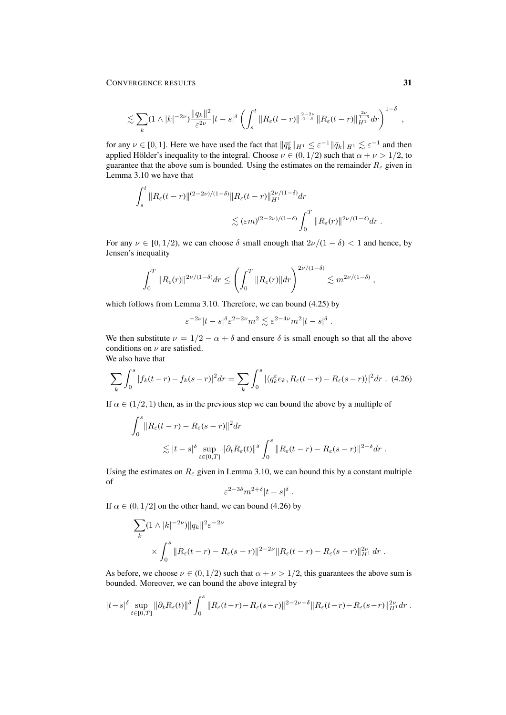$$
\lesssim \sum_{k} (1 \wedge |k|^{-2\nu}) \frac{\|q_k\|^2}{\varepsilon^{2\nu}} |t-s|^\delta \left( \int_s^t \|R_\varepsilon(t-r)\|^{\frac{2-2\nu}{1-\delta}} \|R_\varepsilon(t-r)\|_{H^1}^{\frac{2\nu}{1-\delta}} dr \right)^{1-\delta} ,
$$

for any  $\nu \in [0, 1]$ . Here we have used the fact that  $\|\bar{q}_k^{\varepsilon}\|_{H^1} \leq \varepsilon^{-1} \|\bar{q}_k\|_{H^1} \lesssim \varepsilon^{-1}$  and then applied Hölder's inequality to the integral. Choose  $\nu \in (0, 1/2)$  such that  $\alpha + \nu > 1/2$ , to guarantee that the above sum is bounded. Using the estimates on the remainder  $R_{\varepsilon}$  given in Lemma 3.10 we have that

$$
\int_s^t \|R_{\varepsilon}(t-r)\|^{(2-2\nu)/(1-\delta)} \|R_{\varepsilon}(t-r)\|_{H^1}^{2\nu/(1-\delta)} dr
$$
  

$$
\lesssim (\varepsilon m)^{(2-2\nu)/(1-\delta)} \int_0^T \|R_{\varepsilon}(r)\|^{2\nu/(1-\delta)} dr.
$$

For any  $\nu \in [0, 1/2)$ , we can choose  $\delta$  small enough that  $2\nu/(1 - \delta) < 1$  and hence, by Jensen's inequality

$$
\int_0^T \|R_{\varepsilon}(r)\|^{2\nu/(1-\delta)} dr \le \left(\int_0^T \|R_{\varepsilon}(r)\| dr\right)^{2\nu/(1-\delta)} \lesssim m^{2\nu/(1-\delta)} ,
$$

which follows from Lemma 3.10. Therefore, we can bound (4.25) by

$$
\varepsilon^{-2\nu}|t-s|^\delta \varepsilon^{2-2\nu}m^2 \lesssim \varepsilon^{2-4\nu}m^2|t-s|^\delta.
$$

We then substitute  $\nu = 1/2 - \alpha + \delta$  and ensure  $\delta$  is small enough so that all the above conditions on  $\nu$  are satisfied. We also have that

$$
\sum_{k} \int_0^s |f_k(t-r) - f_k(s-r)|^2 dr = \sum_{k} \int_0^s |\langle q_k^{\varepsilon} e_k, R_{\varepsilon}(t-r) - R_{\varepsilon}(s-r) \rangle|^2 dr \quad (4.26)
$$

If  $\alpha \in (1/2, 1)$  then, as in the previous step we can bound the above by a multiple of

$$
\int_0^s \|R_{\varepsilon}(t-r) - R_{\varepsilon}(s-r)\|^2 dr
$$
  
\$\lesssim |t-s|^{\delta} \sup\_{t \in [0,T]} \|\partial\_t R\_{\varepsilon}(t)\|^{\delta} \int\_0^s \|R\_{\varepsilon}(t-r) - R\_{\varepsilon}(s-r)\|^{2-\delta} dr.\$

Using the estimates on  $R_{\varepsilon}$  given in Lemma 3.10, we can bound this by a constant multiple of

$$
\varepsilon^{2-3\delta} m^{2+\delta} |t-s|^\delta.
$$

If  $\alpha \in (0, 1/2]$  on the other hand, we can bound (4.26) by

$$
\sum_{k} (1 \wedge |k|^{-2\nu}) \|q_{k}\|^{2} \varepsilon^{-2\nu}
$$
  
\$\times \int\_{0}^{s} \|R\_{\varepsilon}(t-r) - R\_{\varepsilon}(s-r)\|^{2-2\nu} \|R\_{\varepsilon}(t-r) - R\_{\varepsilon}(s-r)\|\_{H^{1}}^{2\nu} dr\$.

As before, we choose  $\nu \in (0, 1/2)$  such that  $\alpha + \nu > 1/2$ , this guarantees the above sum is bounded. Moreover, we can bound the above integral by

$$
|t-s|^{\delta}\sup_{t\in[0,T]}\|\partial_tR_{\varepsilon}(t)\|^{\delta}\int_0^s\|R_{\varepsilon}(t-r)-R_{\varepsilon}(s-r)\|^{2-2\nu-\delta}\|R_{\varepsilon}(t-r)-R_{\varepsilon}(s-r)\|_{H^1}^{2\nu}dr.
$$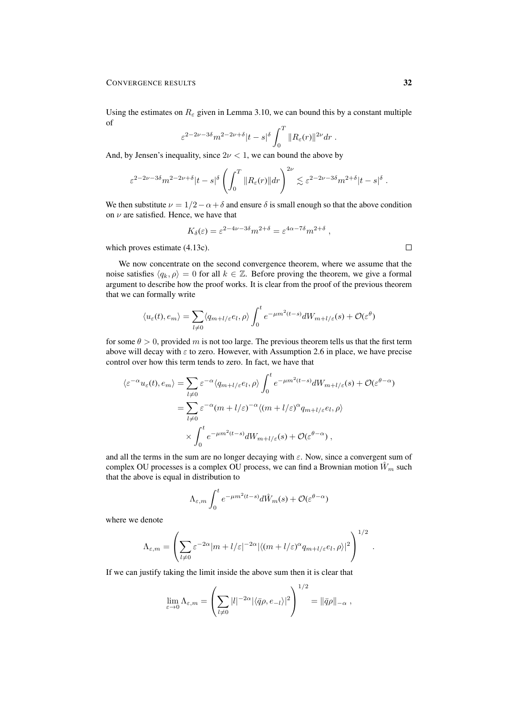Using the estimates on  $R_{\varepsilon}$  given in Lemma 3.10, we can bound this by a constant multiple of

$$
\varepsilon^{2-2\nu-3\delta} m^{2-2\nu+\delta} |t-s|^\delta \int_0^T \|R_\varepsilon(r)\|^{2\nu} dr.
$$

And, by Jensen's inequality, since  $2\nu < 1$ , we can bound the above by

$$
\varepsilon^{2-2\nu-3\delta} m^{2-2\nu+\delta} |t-s|^\delta \left( \int_0^T \|R_\varepsilon(r)\| dr \right)^{2\nu} \lesssim \varepsilon^{2-2\nu-3\delta} m^{2+\delta} |t-s|^\delta.
$$

We then substitute  $\nu = 1/2 - \alpha + \delta$  and ensure  $\delta$  is small enough so that the above condition on  $\nu$  are satisfied. Hence, we have that

$$
K_{\delta}(\varepsilon) = \varepsilon^{2-4\nu - 3\delta} m^{2+\delta} = \varepsilon^{4\alpha - 7\delta} m^{2+\delta} ,
$$

which proves estimate (4.13c).

We now concentrate on the second convergence theorem, where we assume that the noise satisfies  $\langle q_k, \rho \rangle = 0$  for all  $k \in \mathbb{Z}$ . Before proving the theorem, we give a formal argument to describe how the proof works. It is clear from the proof of the previous theorem that we can formally write

$$
\langle u_{\varepsilon}(t), e_m \rangle = \sum_{l \neq 0} \langle q_{m+l/\varepsilon} e_l, \rho \rangle \int_0^t e^{-\mu m^2(t-s)} dW_{m+l/\varepsilon}(s) + \mathcal{O}(\varepsilon^{\theta})
$$

for some  $\theta > 0$ , provided m is not too large. The previous theorem tells us that the first term above will decay with  $\varepsilon$  to zero. However, with Assumption 2.6 in place, we have precise control over how this term tends to zero. In fact, we have that

$$
\langle \varepsilon^{-\alpha} u_{\varepsilon}(t), e_m \rangle = \sum_{l \neq 0} \varepsilon^{-\alpha} \langle q_{m+l/\varepsilon} e_l, \rho \rangle \int_0^t e^{-\mu m^2 (t-s)} dW_{m+l/\varepsilon}(s) + \mathcal{O}(\varepsilon^{\theta - \alpha})
$$
  

$$
= \sum_{l \neq 0} \varepsilon^{-\alpha} (m+l/\varepsilon)^{-\alpha} \langle (m+l/\varepsilon)^{\alpha} q_{m+l/\varepsilon} e_l, \rho \rangle
$$
  

$$
\times \int_0^t e^{-\mu m^2 (t-s)} dW_{m+l/\varepsilon}(s) + \mathcal{O}(\varepsilon^{\theta - \alpha}),
$$

and all the terms in the sum are no longer decaying with  $\varepsilon$ . Now, since a convergent sum of complex OU processes is a complex OU process, we can find a Brownian motion  $\hat{W}_m$  such that the above is equal in distribution to

$$
\Lambda_{\varepsilon,m}\int_0^t e^{-\mu m^2(t-s)}d\hat{W}_m(s)+\mathcal{O}(\varepsilon^{\theta-\alpha})
$$

where we denote

$$
\Lambda_{\varepsilon,m} = \left( \sum_{l \neq 0} \varepsilon^{-2\alpha} |m + l/\varepsilon|^{-2\alpha} |\langle (m + l/\varepsilon)^{\alpha} q_{m + l/\varepsilon} e_l, \rho \rangle|^2 \right)^{1/2}
$$

If we can justify taking the limit inside the above sum then it is clear that

$$
\lim_{\varepsilon \to 0} \Lambda_{\varepsilon,m} = \left( \sum_{l \neq 0} |l|^{-2\alpha} |\langle \bar{q}\rho, e_{-l} \rangle|^2 \right)^{1/2} = ||\bar{q}\rho||_{-\alpha},
$$

 $\Box$ 

.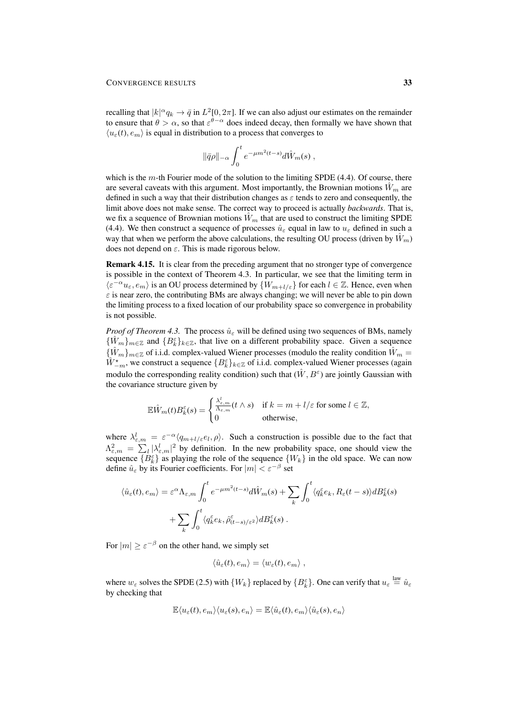recalling that  $|k|^{\alpha} q_k \to \bar{q}$  in  $L^2[0, 2\pi]$ . If we can also adjust our estimates on the remainder to ensure that  $\theta > \alpha$ , so that  $\varepsilon^{\theta-\alpha}$  does indeed decay, then formally we have shown that  $\langle u_{\varepsilon}(t), e_m \rangle$  is equal in distribution to a process that converges to

$$
\|\bar q\rho\|_{-\alpha}\int_0^t e^{-\mu m^2(t-s)}d\hat W_m(s)\;,
$$

which is the  $m$ -th Fourier mode of the solution to the limiting SPDE (4.4). Of course, there are several caveats with this argument. Most importantly, the Brownian motions  $W_m$  are defined in such a way that their distribution changes as  $\varepsilon$  tends to zero and consequently, the limit above does not make sense. The correct way to proceed is actually *backwards*. That is, we fix a sequence of Brownian motions  $\hat{W}_m$  that are used to construct the limiting SPDE (4.4). We then construct a sequence of processes  $\hat{u}_{\varepsilon}$  equal in law to  $u_{\varepsilon}$  defined in such a way that when we perform the above calculations, the resulting OU process (driven by  $\hat{W}_m$ ) does not depend on  $\varepsilon$ . This is made rigorous below.

Remark 4.15. It is clear from the preceding argument that no stronger type of convergence is possible in the context of Theorem 4.3. In particular, we see that the limiting term in  $\langle \varepsilon^{-\alpha} u_{\varepsilon}, e_m \rangle$  is an OU process determined by  $\{W_{m+l/\varepsilon}\}\$  for each  $l \in \mathbb{Z}$ . Hence, even when  $\varepsilon$  is near zero, the contributing BMs are always changing; we will never be able to pin down the limiting process to a fixed location of our probability space so convergence in probability is not possible.

*Proof of Theorem 4.3.* The process  $\hat{u}_{\varepsilon}$  will be defined using two sequences of BMs, namely  $\{\hat{W}_m\}_{m\in\mathbb{Z}}$  and  $\{B_k^{\varepsilon}\}_{k\in\mathbb{Z}}$ , that live on a different probability space. Given a sequence  ${\{\hat{W}_m\}}_{m\in\mathbb{Z}}$  of i.i.d. complex-valued Wiener processes (modulo the reality condition  $\hat{W}_m$  =  $\hat{W}_{-m}^{\star}$ , we construct a sequence  $\{B_{k}^{\varepsilon}\}_{k\in\mathbb{Z}}$  of i.i.d. complex-valued Wiener processes (again modulo the corresponding reality condition) such that  $(\hat{W}, B^{\varepsilon})$  are jointly Gaussian with the covariance structure given by

$$
\mathbb{E}\hat{W}_m(t)B_k^{\varepsilon}(s) = \begin{cases} \frac{\lambda_{\varepsilon,m}^l}{\Lambda_{\varepsilon,m}}(t \wedge s) & \text{if } k=m+l/\varepsilon \text{ for some } l \in \mathbb{Z}, \\ 0 & \text{otherwise,} \end{cases}
$$

where  $\lambda_{\varepsilon,m}^l = \varepsilon^{-\alpha} \langle q_{m+l/\varepsilon} e_l, \rho \rangle$ . Such a construction is possible due to the fact that  $\Lambda_{\varepsilon,m}^2 = \sum_l |\lambda_{\varepsilon,m}^l|^2$  by definition. In the new probability space, one should view the sequence  ${B_k^{\varepsilon}}$  as playing the role of the sequence  ${W_k}$  in the old space. We can now define  $\hat{u}_{\varepsilon}$  by its Fourier coefficients. For  $|m| < \varepsilon^{-\beta}$  set

$$
\langle \hat{u}_{\varepsilon}(t), e_m \rangle = \varepsilon^{\alpha} \Lambda_{\varepsilon,m} \int_0^t e^{-\mu m^2(t-s)} d\hat{W}_m(s) + \sum_k \int_0^t \langle q_k^{\varepsilon} e_k, R_{\varepsilon}(t-s) \rangle dB_k^{\varepsilon}(s) + \sum_k \int_0^t \langle q_k^{\varepsilon} e_k, \hat{\rho}_{(t-s)/\varepsilon}^{\varepsilon} \rangle dB_k^{\varepsilon}(s) .
$$

For  $|m| \ge \varepsilon^{-\beta}$  on the other hand, we simply set

$$
\langle \hat{u}_{\varepsilon}(t), e_m \rangle = \langle w_{\varepsilon}(t), e_m \rangle ,
$$

where  $w_{\varepsilon}$  solves the SPDE (2.5) with  $\{W_k\}$  replaced by  $\{B_k^{\varepsilon}\}\)$ . One can verify that  $u_{\varepsilon} \stackrel{\text{law}}{=} \hat{u}_{\varepsilon}$ by checking that

$$
\mathbb{E}\langle u_{\varepsilon}(t),e_m\rangle\langle u_{\varepsilon}(s),e_n\rangle=\mathbb{E}\langle \hat{u}_{\varepsilon}(t),e_m\rangle\langle \hat{u}_{\varepsilon}(s),e_n\rangle
$$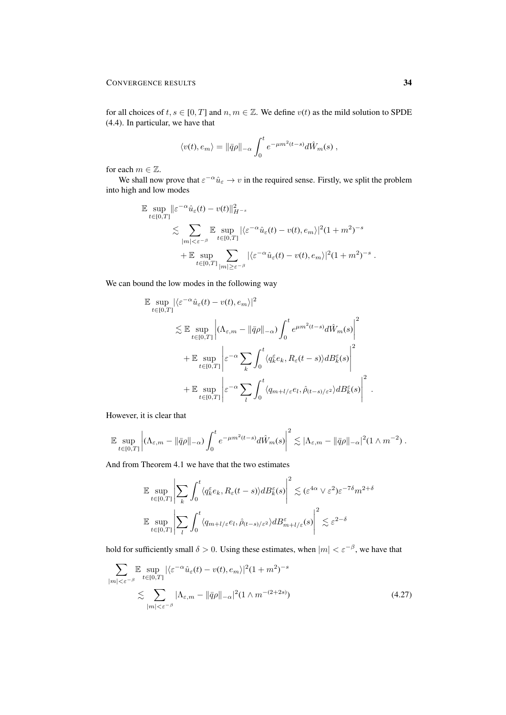for all choices of  $t, s \in [0, T]$  and  $n, m \in \mathbb{Z}$ . We define  $v(t)$  as the mild solution to SPDE (4.4). In particular, we have that

$$
\langle v(t), e_m \rangle = ||\bar{q}\rho||_{-\alpha} \int_0^t e^{-\mu m^2(t-s)} d\hat{W}_m(s) ,
$$

for each  $m\in\mathbb{Z}.$ 

We shall now prove that  $\varepsilon^{-\alpha} \hat{u}_{\varepsilon} \to v$  in the required sense. Firstly, we split the problem into high and low modes

$$
\mathbb{E} \sup_{t \in [0,T]} \|\varepsilon^{-\alpha} \hat{u}_{\varepsilon}(t) - v(t)\|_{H^{-s}}^2
$$
  
\$\lesssim \sum\_{|m| < \varepsilon^{-\beta}} \mathbb{E} \sup\_{t \in [0,T]} |\langle \varepsilon^{-\alpha} \hat{u}\_{\varepsilon}(t) - v(t), e\_m \rangle|^2 (1 + m^2)^{-s}\$  
\$+ \mathbb{E} \sup\_{t \in [0,T]} \sum\_{|m| \ge \varepsilon^{-\beta}} |\langle \varepsilon^{-\alpha} \hat{u}\_{\varepsilon}(t) - v(t), e\_m \rangle|^2 (1 + m^2)^{-s}\$.

We can bound the low modes in the following way

$$
\mathbb{E} \sup_{t \in [0,T]} |\langle \varepsilon^{-\alpha} \hat{u}_{\varepsilon}(t) - v(t), e_m \rangle|^2
$$
\n
$$
\lesssim \mathbb{E} \sup_{t \in [0,T]} \left| (\Lambda_{\varepsilon,m} - ||\bar{q}\rho||_{-\alpha}) \int_0^t e^{\mu m^2(t-s)} d\hat{W}_m(s) \right|^2
$$
\n
$$
+ \mathbb{E} \sup_{t \in [0,T]} \left| \varepsilon^{-\alpha} \sum_k \int_0^t \langle q_k^{\varepsilon} e_k, R_{\varepsilon}(t-s) \rangle dB_k^{\varepsilon}(s) \right|^2
$$
\n
$$
+ \mathbb{E} \sup_{t \in [0,T]} \left| \varepsilon^{-\alpha} \sum_l \int_0^t \langle q_{m+l/\varepsilon} e_l, \hat{\rho}_{(t-s)/\varepsilon^2} \rangle dB_k^{\varepsilon}(s) \right|^2.
$$

However, it is clear that

$$
\mathbb{E}\sup_{t\in[0,T]}\left|(\Lambda_{\varepsilon,m}-\|\bar{q}\rho\|_{-\alpha})\int_0^t e^{-\mu m^2(t-s)}d\hat{W}_m(s)\right|^2\lesssim |\Lambda_{\varepsilon,m}-\|\bar{q}\rho\|_{-\alpha}|^2(1\wedge m^{-2}).
$$

And from Theorem 4.1 we have that the two estimates

$$
\mathbb{E} \sup_{t \in [0,T]} \left| \sum_{k} \int_{0}^{t} \langle q_k^{\varepsilon} e_k, R_{\varepsilon}(t-s) \rangle dB_k^{\varepsilon}(s) \right|^2 \lesssim (\varepsilon^{4\alpha} \vee \varepsilon^2) \varepsilon^{-7\delta} m^{2+\delta}
$$
  

$$
\mathbb{E} \sup_{t \in [0,T]} \left| \sum_{l} \int_{0}^{t} \langle q_{m+l/\varepsilon} e_l, \hat{\rho}_{(t-s)/\varepsilon^2} \rangle dB_{m+l/\varepsilon}^{\varepsilon}(s) \right|^2 \lesssim \varepsilon^{2-\delta}
$$

hold for sufficiently small  $\delta > 0$ . Using these estimates, when  $|m| < \varepsilon^{-\beta}$ , we have that

$$
\sum_{|m|<\varepsilon^{-\beta}} \mathbb{E} \sup_{t\in[0,T]} |\langle \varepsilon^{-\alpha} \hat{u}_{\varepsilon}(t) - v(t), e_m \rangle|^2 (1+m^2)^{-s}
$$
  

$$
\lesssim \sum_{|m|<\varepsilon^{-\beta}} |\Lambda_{\varepsilon,m} - ||\bar{q}\rho||_{-\alpha}|^2 (1 \wedge m^{-(2+2s)})
$$
(4.27)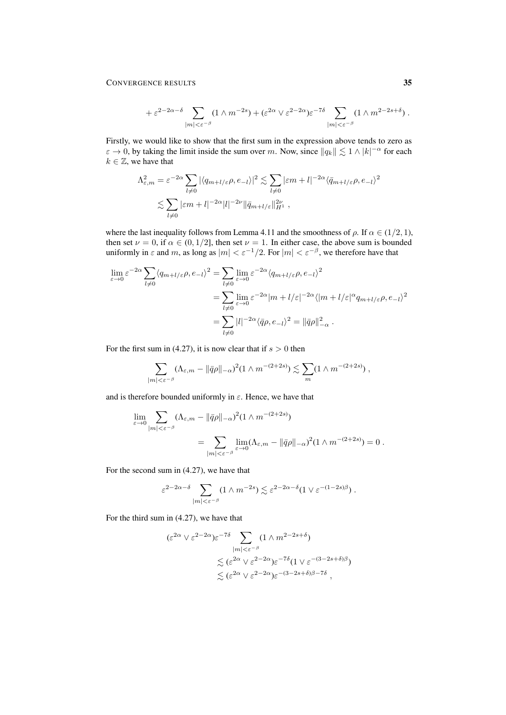### CONVERGENCE RESULTS 35

$$
+ \varepsilon^{2-2\alpha-\delta} \sum_{|m|<\varepsilon^{-\beta}} (1\wedge m^{-2s}) + (\varepsilon^{2\alpha}\vee\varepsilon^{2-2\alpha})\varepsilon^{-7\delta} \sum_{|m|<\varepsilon^{-\beta}} (1\wedge m^{2-2s+\delta})\ .
$$

Firstly, we would like to show that the first sum in the expression above tends to zero as  $\varepsilon \to 0$ , by taking the limit inside the sum over m. Now, since  $||q_k|| \lesssim 1 \wedge |k|^{-\alpha}$  for each  $k \in \mathbb{Z}$ , we have that

$$
\Lambda_{\varepsilon,m}^2 = \varepsilon^{-2\alpha} \sum_{l \neq 0} |\langle q_{m+l/\varepsilon} \rho, e_{-l} \rangle|^2 \lesssim \sum_{l \neq 0} |\varepsilon m + l|^{-2\alpha} \langle \bar{q}_{m+l/\varepsilon} \rho, e_{-l} \rangle^2
$$
  

$$
\lesssim \sum_{l \neq 0} |\varepsilon m + l|^{-2\alpha} |l|^{-2\nu} ||\bar{q}_{m+l/\varepsilon}||_{H^1}^{2\nu},
$$

where the last inequality follows from Lemma 4.11 and the smoothness of  $\rho$ . If  $\alpha \in (1/2, 1)$ , then set  $\nu = 0$ , if  $\alpha \in (0, 1/2]$ , then set  $\nu = 1$ . In either case, the above sum is bounded uniformly in  $\varepsilon$  and m, as long as  $|m| < \varepsilon^{-1}/2$ . For  $|m| < \varepsilon^{-\beta}$ , we therefore have that

$$
\lim_{\varepsilon \to 0} \varepsilon^{-2\alpha} \sum_{l \neq 0} \langle q_{m+l/\varepsilon} \rho, e_{-l} \rangle^2 = \sum_{l \neq 0} \lim_{\varepsilon \to 0} \varepsilon^{-2\alpha} \langle q_{m+l/\varepsilon} \rho, e_{-l} \rangle^2
$$
  
\n
$$
= \sum_{l \neq 0} \lim_{\varepsilon \to 0} \varepsilon^{-2\alpha} |m + l/\varepsilon|^{-2\alpha} \langle |m + l/\varepsilon|^{\alpha} q_{m+l/\varepsilon} \rho, e_{-l} \rangle^2
$$
  
\n
$$
= \sum_{l \neq 0} |l|^{-2\alpha} \langle \bar{q} \rho, e_{-l} \rangle^2 = ||\bar{q} \rho||_{-\alpha}^2.
$$

For the first sum in (4.27), it is now clear that if  $s > 0$  then

$$
\sum_{|m|<\varepsilon^{-\beta}}(\Lambda_{\varepsilon,m}-\|\bar{q}\rho\|_{-\alpha})^2(1\wedge m^{-(2+2s)})\lesssim \sum_m(1\wedge m^{-(2+2s)})\;,
$$

and is therefore bounded uniformly in  $\varepsilon$ . Hence, we have that

$$
\lim_{\varepsilon \to 0} \sum_{|m| < \varepsilon^{-\beta}} (\Lambda_{\varepsilon,m} - \|\bar{q}\rho\|_{-\alpha})^2 (1 \wedge m^{-(2+2s)})
$$
\n
$$
= \sum_{|m| < \varepsilon^{-\beta}} \lim_{\varepsilon \to 0} (\Lambda_{\varepsilon,m} - \|\bar{q}\rho\|_{-\alpha})^2 (1 \wedge m^{-(2+2s)}) = 0.
$$

For the second sum in (4.27), we have that

$$
\varepsilon^{2-2\alpha-\delta}\sum_{|m|<\varepsilon^{-\beta}}(1\wedge m^{-2s})\lesssim \varepsilon^{2-2\alpha-\delta}(1\vee \varepsilon^{-(1-2s)\beta})\ .
$$

For the third sum in (4.27), we have that

$$
\begin{aligned} (\varepsilon^{2\alpha} \vee \varepsilon^{2-2\alpha}) \varepsilon^{-7\delta} &\sum_{|m| < \varepsilon^{-\beta}} (1 \wedge m^{2-2s+\delta}) \\ &\lesssim (\varepsilon^{2\alpha} \vee \varepsilon^{2-2\alpha}) \varepsilon^{-7\delta} (1 \vee \varepsilon^{-(3-2s+\delta)\beta}) \\ &\lesssim (\varepsilon^{2\alpha} \vee \varepsilon^{2-2\alpha}) \varepsilon^{-(3-2s+\delta)\beta-7\delta} \;, \end{aligned}
$$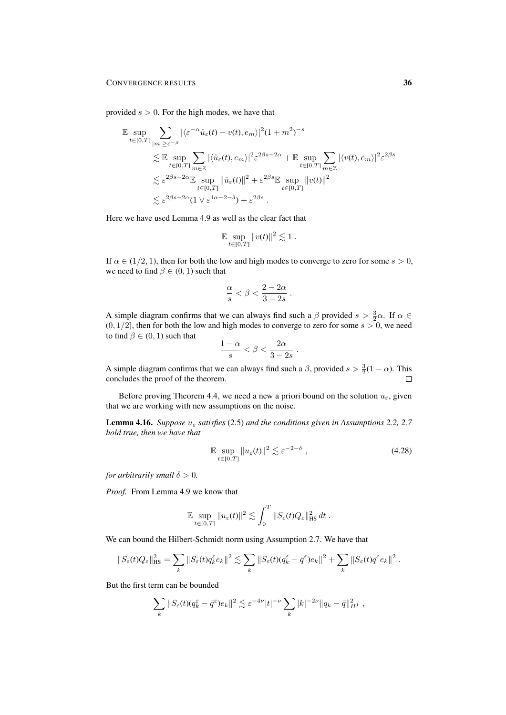provided  $s > 0$ . For the high modes, we have that

$$
\mathbb{E} \sup_{t \in [0,T]} \sum_{|m| \ge \varepsilon^{-\beta}} |\langle \varepsilon^{-\alpha} \hat{u}_{\varepsilon}(t) - v(t), e_m \rangle|^2 (1 + m^2)^{-s}
$$
  
\$\le \mathbb{E} \sup\_{t \in [0,T]} \sum\_{m \in \mathbb{Z}} |\langle \hat{u}\_{\varepsilon}(t), e\_m \rangle|^2 \varepsilon^{2\beta s - 2\alpha} + \mathbb{E} \sup\_{t \in [0,T]} \sum\_{m \in \mathbb{Z}} |\langle v(t), e\_m \rangle|^2 \varepsilon^{2\beta s}  
\$\le \varepsilon^{2\beta s - 2\alpha} \mathbb{E} \sup\_{t \in [0,T]} \| \hat{u}\_{\varepsilon}(t) \|^2 + \varepsilon^{2\beta s} \mathbb{E} \sup\_{t \in [0,T]} \| v(t) \|^2  
\$\le \varepsilon^{2\beta s - 2\alpha} (1 \vee \varepsilon^{4\alpha - 2 - \delta}) + \varepsilon^{2\beta s} .

Here we have used Lemma 4.9 as well as the clear fact that

$$
\mathbb{E}\sup_{t\in[0,T]}\|v(t)\|^2\lesssim 1.
$$

If  $\alpha \in (1/2, 1)$ , then for both the low and high modes to converge to zero for some  $s > 0$ , we need to find  $\beta \in (0, 1)$  such that

$$
\frac{\alpha}{s} < \beta < \frac{2-2\alpha}{3-2s} .
$$

A simple diagram confirms that we can always find such a  $\beta$  provided  $s > \frac{3}{2}\alpha$ . If  $\alpha \in$  $(0, 1/2]$ , then for both the low and high modes to converge to zero for some  $s > 0$ , we need to find  $\beta \in (0, 1)$  such that

$$
\frac{1-\alpha}{s} < \beta < \frac{2\alpha}{3-2s} \; .
$$

A simple diagram confirms that we can always find such a  $\beta$ , provided  $s > \frac{3}{2}(1 - \alpha)$ . This concludes the proof of the theorem.  $\Box$ 

Before proving Theorem 4.4, we need a new a priori bound on the solution  $u_{\varepsilon}$ , given that we are working with new assumptions on the noise.

**Lemma 4.16.** *Suppose*  $u_{\varepsilon}$  *satisfies* (2.5) *and the conditions given in Assumptions 2.2, 2.7 hold true, then we have that*

$$
\mathbb{E} \sup_{t \in [0,T]} \|u_{\varepsilon}(t)\|^2 \lesssim \varepsilon^{-2-\delta} , \qquad (4.28)
$$

*for arbitrarily small*  $\delta > 0$ *.* 

*Proof.* From Lemma 4.9 we know that

$$
\mathbb{E} \sup_{t \in [0,T]} \|u_{\varepsilon}(t)\|^2 \lesssim \int_0^T \|S_{\varepsilon}(t)Q_{\varepsilon}\|_{\text{HS}}^2 dt.
$$

We can bound the Hilbert-Schmidt norm using Assumption 2.7. We have that

$$
||S_{\varepsilon}(t)Q_{\varepsilon}||_{\text{HS}}^2 = \sum_{k} ||S_{\varepsilon}(t)q_k^{\varepsilon}e_k||^2 \lesssim \sum_{k} ||S_{\varepsilon}(t)(q_k^{\varepsilon} - \bar{q}^{\varepsilon})e_k||^2 + \sum_{k} ||S_{\varepsilon}(t)\bar{q}^{\varepsilon}e_k||^2.
$$

But the first term can be bounded

$$
\sum_{k} ||S_{\varepsilon}(t)(q_k^{\varepsilon} - \bar{q}^{\varepsilon})e_k||^2 \lesssim \varepsilon^{-4\nu} |t|^{-\nu} \sum_{k} |k|^{-2\nu} ||q_k - \bar{q}||_{H^1}^2,
$$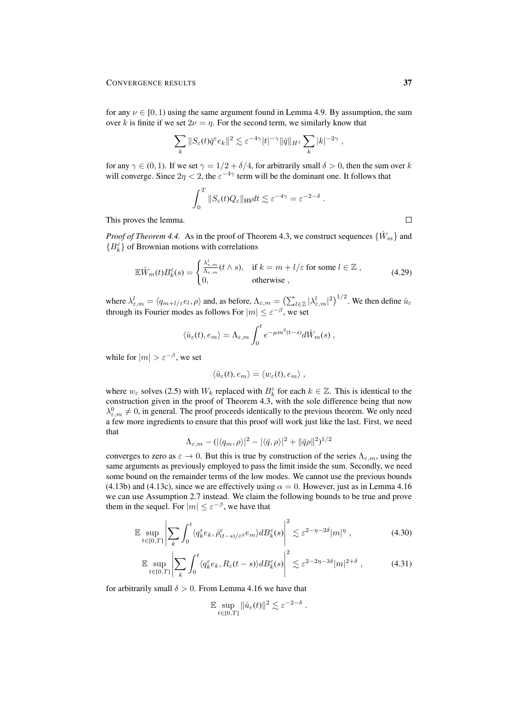for any  $\nu \in [0, 1)$  using the same argument found in Lemma 4.9. By assumption, the sum over k is finite if we set  $2\nu = \eta$ . For the second term, we similarly know that

$$
\sum_{k} ||S_{\varepsilon}(t)\bar{q}^{\varepsilon}e_k||^2 \lesssim \varepsilon^{-4\gamma}|t|^{-\gamma}||\bar{q}||_{H^1} \sum_{k} |k|^{-2\gamma},
$$

for any  $\gamma \in (0, 1)$ . If we set  $\gamma = 1/2 + \delta/4$ , for arbitrarily small  $\delta > 0$ , then the sum over k will converge. Since  $2\eta < 2$ , the  $\varepsilon^{-4\gamma}$  term will be the dominant one. It follows that

$$
\int_0^T \|S_{\varepsilon}(t)Q_{\varepsilon}\|_{\text{HS}} dt \lesssim \varepsilon^{-4\gamma} = \varepsilon^{-2-\delta}.
$$

This proves the lemma.

*Proof of Theorem 4.4.* As in the proof of Theorem 4.3, we construct sequences  $\{\hat{W}_m\}$  and  $\{B_k^\varepsilon\}$  of Brownian motions with correlations

$$
\mathbb{E}\hat{W}_m(t)B_k^{\varepsilon}(s) = \begin{cases} \frac{\lambda_{\varepsilon,m}^l}{\Lambda_{\varepsilon,m}}(t \wedge s), & \text{if } k = m + l/\varepsilon \text{ for some } l \in \mathbb{Z} \;, \\ 0, & \text{otherwise} \;, \end{cases}
$$
(4.29)

where  $\lambda_{\varepsilon,m}^l = \langle q_{m+l/\varepsilon} e_l, \rho \rangle$  and, as before,  $\Lambda_{\varepsilon,m} = \left( \sum_{l \in \mathbb{Z}} |\lambda_{\varepsilon,m}^l|^2 \right)^{1/2}$ . We then define  $\hat{u}_{\varepsilon,m}$ through its Fourier modes as follows For  $|m| \le \varepsilon^{-\beta}$ , we set

$$
\langle \hat{u}_{\varepsilon}(t), e_m \rangle = \Lambda_{\varepsilon,m} \int_0^t e^{-\mu m^2(t-s)} d\hat{W}_m(s) ,
$$

while for  $|m| > \varepsilon^{-\beta}$ , we set

$$
\langle \hat{u}_{\varepsilon}(t), e_m \rangle = \langle w_{\varepsilon}(t), e_m \rangle ,
$$

where  $w_{\varepsilon}$  solves (2.5) with  $W_k$  replaced with  $B_k^{\varepsilon}$  for each  $k \in \mathbb{Z}$ . This is identical to the construction given in the proof of Theorem 4.3, with the sole difference being that now  $\lambda_{\varepsilon,m}^0 \neq 0$ , in general. The proof proceeds identically to the previous theorem. We only need a few more ingredients to ensure that this proof will work just like the last. First, we need that

$$
\Lambda_{\varepsilon,m} - (\langle q_m, \rho \rangle)^2 - |\langle \bar{q}, \rho \rangle|^2 + ||\bar{q}\rho||^2)^{1/2}
$$

converges to zero as  $\varepsilon \to 0$ . But this is true by construction of the series  $\Lambda_{\varepsilon,m}$ , using the same arguments as previously employed to pass the limit inside the sum. Secondly, we need some bound on the remainder terms of the low modes. We cannot use the previous bounds (4.13b) and (4.13c), since we are effectively using  $\alpha = 0$ . However, just as in Lemma 4.16 we can use Assumption 2.7 instead. We claim the following bounds to be true and prove them in the sequel. For  $|m| \leq \varepsilon^{-\beta}$ , we have that

$$
\mathbb{E} \sup_{t \in [0,T]} \left| \sum_{k} \int_{0}^{t} \langle q_k^{\varepsilon} e_k, \hat{\rho}_{(t-s)/\varepsilon^2}^{\varepsilon} e_m \rangle d B_k^{\varepsilon}(s) \right|^2 \lesssim \varepsilon^{2-\eta-2\delta} |m|^{\eta} , \tag{4.30}
$$

$$
\mathbb{E}\sup_{t\in[0,T]}\left|\sum_{k}\int_{0}^{t}\langle q_{k}^{\varepsilon}e_{k},R_{\varepsilon}(t-s)\rangle dB_{k}^{\varepsilon}(s)\right|^{2}\lesssim\varepsilon^{2-2\eta-3\delta}|m|^{2+\delta}\;, \tag{4.31}
$$

for arbitrarily small  $\delta > 0$ . From Lemma 4.16 we have that

$$
\mathbb{E}\sup_{t\in[0,T]}\|\hat{u}_{\varepsilon}(t)\|^2\lesssim \varepsilon^{-2-\delta}.
$$

 $\Box$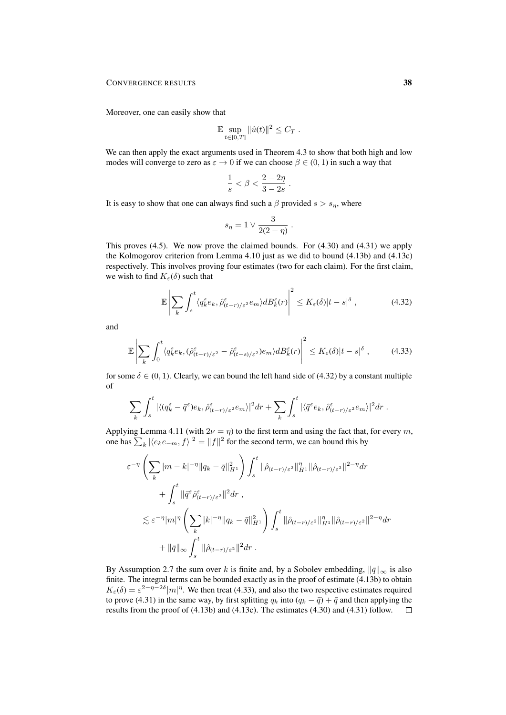Moreover, one can easily show that

$$
\mathbb{E} \sup_{t \in [0,T]} ||\hat{u}(t)||^2 \leq C_T.
$$

We can then apply the exact arguments used in Theorem 4.3 to show that both high and low modes will converge to zero as  $\varepsilon \to 0$  if we can choose  $\beta \in (0, 1)$  in such a way that

$$
\frac{1}{s} < \beta < \frac{2 - 2\eta}{3 - 2s} \; .
$$

It is easy to show that one can always find such a  $\beta$  provided  $s > s_n$ , where

$$
s_{\eta}=1\vee \frac{3}{2(2-\eta)}.
$$

This proves (4.5). We now prove the claimed bounds. For (4.30) and (4.31) we apply the Kolmogorov criterion from Lemma 4.10 just as we did to bound (4.13b) and (4.13c) respectively. This involves proving four estimates (two for each claim). For the first claim, we wish to find  $K_{\varepsilon}(\delta)$  such that

$$
\mathbb{E}\left|\sum_{k}\int_{s}^{t}\langle q_{k}^{\varepsilon}e_{k},\hat{\rho}_{(t-r)/\varepsilon^{2}}^{\varepsilon}e_{m}\rangle dB_{k}^{\varepsilon}(r)\right|^{2} \leq K_{\varepsilon}(\delta)|t-s|^{\delta},\tag{4.32}
$$

and

$$
\mathbb{E}\left|\sum_{k}\int_{0}^{t}\langle q_{k}^{\varepsilon}e_{k},(\hat{\rho}_{(t-r)/\varepsilon^{2}}^{\varepsilon}-\hat{\rho}_{(t-s)/\varepsilon^{2}}^{\varepsilon})e_{m}\rangle dB_{k}^{\varepsilon}(r)\right|^{2}\leq K_{\varepsilon}(\delta)|t-s|^{\delta},\qquad(4.33)
$$

for some  $\delta \in (0, 1)$ . Clearly, we can bound the left hand side of (4.32) by a constant multiple of

$$
\sum_{k} \int_{s}^{t} |\langle (q_k^{\varepsilon} - \bar{q}^{\varepsilon}) e_k, \hat{\rho}_{(t-r)/\varepsilon^2}^{\varepsilon} e_m \rangle|^2 dr + \sum_{k} \int_{s}^{t} |\langle \bar{q}^{\varepsilon} e_k, \hat{\rho}_{(t-r)/\varepsilon^2}^{\varepsilon} e_m \rangle|^2 dr.
$$

Applying Lemma 4.11 (with  $2\nu = \eta$ ) to the first term and using the fact that, for every m, one has  $\sum_{k} |\langle e_k e_{-m}, f \rangle|^2 = ||f||^2$  for the second term, we can bound this by

$$
\varepsilon^{-\eta} \left( \sum_{k} |m - k|^{-\eta} \|q_k - \bar{q}\|_{H^1}^2 \right) \int_s^t \|\hat{\rho}_{(t-r)/\varepsilon^2}\|_{H^1}^{\eta} \|\hat{\rho}_{(t-r)/\varepsilon^2}\|^{2-\eta} dr \n+ \int_s^t \|\bar{q}^{\varepsilon} \hat{\rho}_{(t-r)/\varepsilon^2}^{\varepsilon} \|^2 dr ,
$$
\n
$$
\lesssim \varepsilon^{-\eta} |m|^{\eta} \left( \sum_{k} |k|^{-\eta} \|q_k - \bar{q}\|_{H^1}^2 \right) \int_s^t \|\hat{\rho}_{(t-r)/\varepsilon^2}\|_{H^1}^{\eta} \|\hat{\rho}_{(t-r)/\varepsilon^2}\|^{2-\eta} dr \n+ \|\bar{q}\|_{\infty} \int_s^t \|\hat{\rho}_{(t-r)/\varepsilon^2}\|^2 dr .
$$

By Assumption 2.7 the sum over k is finite and, by a Sobolev embedding,  $\|\bar{q}\|_{\infty}$  is also finite. The integral terms can be bounded exactly as in the proof of estimate (4.13b) to obtain  $K_{\varepsilon}(\delta) = \varepsilon^{2-\eta-2\delta} |m|^{\eta}$ . We then treat (4.33), and also the two respective estimates required to prove (4.31) in the same way, by first splitting  $q_k$  into  $(q_k - \bar{q}) + \bar{q}$  and then applying the results from the proof of  $(4.13b)$  and  $(4.13c)$ . The estimates  $(4.30)$  and  $(4.31)$  follow.  $\Box$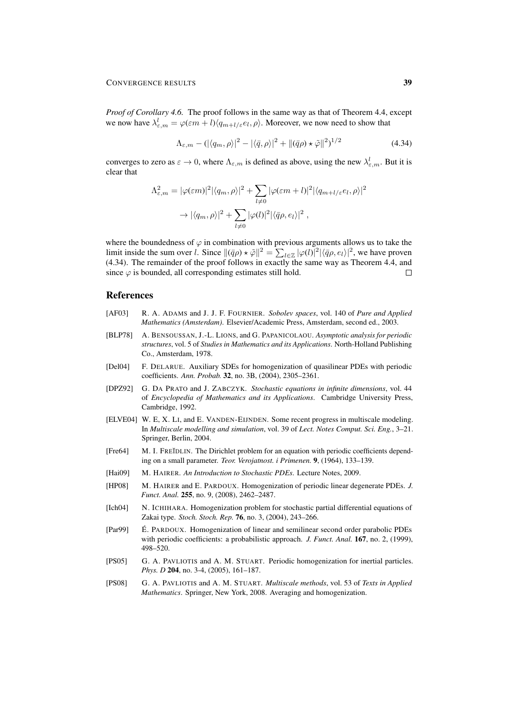*Proof of Corollary 4.6.* The proof follows in the same way as that of Theorem 4.4, except we now have  $\lambda_{\varepsilon,m}^l = \varphi(\varepsilon m+l) \langle q_{m+l/\varepsilon} e_l, \rho \rangle$ . Moreover, we now need to show that

$$
\Lambda_{\varepsilon,m} - (|\langle q_m, \rho \rangle|^2 - |\langle \bar{q}, \rho \rangle|^2 + ||(\bar{q}\rho) \star \tilde{\varphi}||^2)^{1/2}
$$
\n(4.34)

converges to zero as  $\varepsilon \to 0$ , where  $\Lambda_{\varepsilon,m}$  is defined as above, using the new  $\lambda_{\varepsilon,m}^l$ . But it is clear that

$$
\Lambda_{\varepsilon,m}^2 = |\varphi(\varepsilon m)|^2 |\langle q_m, \rho \rangle|^2 + \sum_{l \neq 0} |\varphi(\varepsilon m + l)|^2 |\langle q_{m+l/\varepsilon} e_l, \rho \rangle|^2
$$

$$
\to |\langle q_m, \rho \rangle|^2 + \sum_{l \neq 0} |\varphi(l)|^2 |\langle \bar{q}\rho, e_l \rangle|^2 ,
$$

where the boundedness of  $\varphi$  in combination with previous arguments allows us to take the limit inside the sum over *l*. Since  $\|(\bar{q}\rho) \star \tilde{\varphi}\|^2 = \sum_{l \in \mathbb{Z}} |\varphi(l)|^2 |\langle \bar{q}\rho, e_l \rangle|^2$ , we have proven (4.34). The remainder of the proof follows in exactly the same way as Theorem 4.4, and since  $\varphi$  is bounded, all corresponding estimates still hold.  $\Box$ 

# **References**

- [AF03] R. A. ADAMS and J. J. F. FOURNIER. *Sobolev spaces*, vol. 140 of *Pure and Applied Mathematics (Amsterdam)*. Elsevier/Academic Press, Amsterdam, second ed., 2003.
- [BLP78] A. BENSOUSSAN, J.-L. LIONS, and G. PAPANICOLAOU. *Asymptotic analysis for periodic structures*, vol. 5 of *Studies in Mathematics and its Applications*. North-Holland Publishing Co., Amsterdam, 1978.
- [Del04] F. DELARUE. Auxiliary SDEs for homogenization of quasilinear PDEs with periodic coefficients. *Ann. Probab.* 32, no. 3B, (2004), 2305–2361.
- [DPZ92] G. DA PRATO and J. ZABCZYK. *Stochastic equations in infinite dimensions*, vol. 44 of *Encyclopedia of Mathematics and its Applications*. Cambridge University Press, Cambridge, 1992.
- [ELVE04] W. E, X. LI, and E. VANDEN-EIJNDEN. Some recent progress in multiscale modeling. In *Multiscale modelling and simulation*, vol. 39 of *Lect. Notes Comput. Sci. Eng.*, 3–21. Springer, Berlin, 2004.
- [Fre64] M. I. FREĬDLIN. The Dirichlet problem for an equation with periodic coefficients depending on a small parameter. *Teor. Verojatnost. i Primenen.* 9, (1964), 133–139.
- [Hai09] M. HAIRER. *An Introduction to Stochastic PDEs*. Lecture Notes, 2009.
- [HP08] M. HAIRER and E. PARDOUX. Homogenization of periodic linear degenerate PDEs. *J. Funct. Anal.* 255, no. 9, (2008), 2462–2487.
- [Ich04] N. ICHIHARA. Homogenization problem for stochastic partial differential equations of Zakai type. *Stoch. Stoch. Rep.* 76, no. 3, (2004), 243–266.
- [Par99] E. PARDOUX. Homogenization of linear and semilinear second order parabolic PDEs with periodic coefficients: a probabilistic approach. *J. Funct. Anal.* 167, no. 2, (1999), 498–520.
- [PS05] G. A. PAVLIOTIS and A. M. STUART. Periodic homogenization for inertial particles. *Phys. D* 204, no. 3-4, (2005), 161-187.
- [PS08] G. A. PAVLIOTIS and A. M. STUART. *Multiscale methods*, vol. 53 of *Texts in Applied Mathematics*. Springer, New York, 2008. Averaging and homogenization.